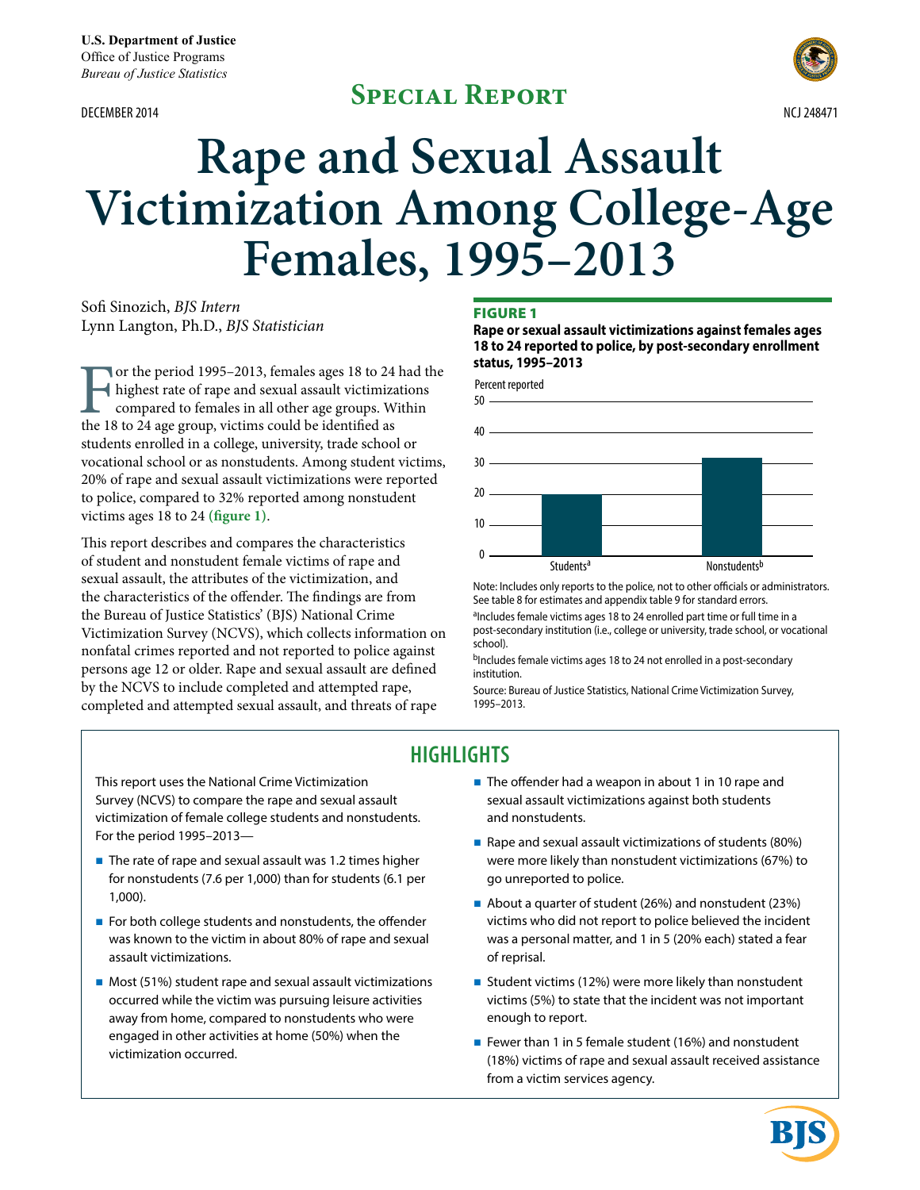# **Special Report** DECEMBER 2014 NCJ 248471



# **Rape and Sexual Assault Victimization Among College-Age Females, 1995–2013**

Sofi Sinozich, *BJS Intern* Lynn Langton, Ph.D., *BJS Statistician*

For the period 1995–2013, females ages 18 to 24 had the highest rate of rape and sexual assault victimizations compared to females in all other age groups. Within the 18 to 24 age group, victims could be identified as highest rate of rape and sexual assault victimizations compared to females in all other age groups. Within the 18 to 24 age group, victims could be identified as students enrolled in a college, university, trade school or vocational school or as nonstudents. Among student victims, 20% of rape and sexual assault victimizations were reported to police, compared to 32% reported among nonstudent victims ages 18 to 24 **(figure 1)**.

This report describes and compares the characteristics of student and nonstudent female victims of rape and sexual assault, the attributes of the victimization, and the characteristics of the offender. The findings are from the Bureau of Justice Statistics' (BJS) National Crime Victimization Survey (NCVS), which collects information on nonfatal crimes reported and not reported to police against persons age 12 or older. Rape and sexual assault are defined by the NCVS to include completed and attempted rape, completed and attempted sexual assault, and threats of rape

# **FIGURE 1**

**Rape or sexual assault victimizations against females ages 18 to 24 reported to police, by post-secondary enrollment status, 1995–2013**



Note: Includes only reports to the police, not to other officials or administrators. See table 8 for estimates and appendix table 9 for standard errors.

aIncludes female victims ages 18 to 24 enrolled part time or full time in a post-secondary institution (i.e., college or university, trade school, or vocational school).

bIncludes female victims ages 18 to 24 not enrolled in a post-secondary institution.

Source: Bureau of Justice Statistics, National Crime Victimization Survey, 1995–2013.

# **HIGHLIGHTS**

This report uses the National Crime Victimization Survey (NCVS) to compare the rape and sexual assault victimization of female college students and nonstudents. For the period 1995–2013—

- The rate of rape and sexual assault was 1.2 times higher for nonstudents (7.6 per 1,000) than for students (6.1 per 1,000).
- For both college students and nonstudents, the offender was known to the victim in about 80% of rape and sexual assault victimizations.
- Most (51%) student rape and sexual assault victimizations occurred while the victim was pursuing leisure activities away from home, compared to nonstudents who were engaged in other activities at home (50%) when the victimization occurred.
- $\blacksquare$  The offender had a weapon in about 1 in 10 rape and sexual assault victimizations against both students and nonstudents.
- Rape and sexual assault victimizations of students (80%) were more likely than nonstudent victimizations (67%) to go unreported to police.
- About a quarter of student (26%) and nonstudent (23%) victims who did not report to police believed the incident was a personal matter, and 1 in 5 (20% each) stated a fear of reprisal.
- Student victims (12%) were more likely than nonstudent victims (5%) to state that the incident was not important enough to report.
- Fewer than 1 in 5 female student (16%) and nonstudent (18%) victims of rape and sexual assault received assistance from a victim services agency.

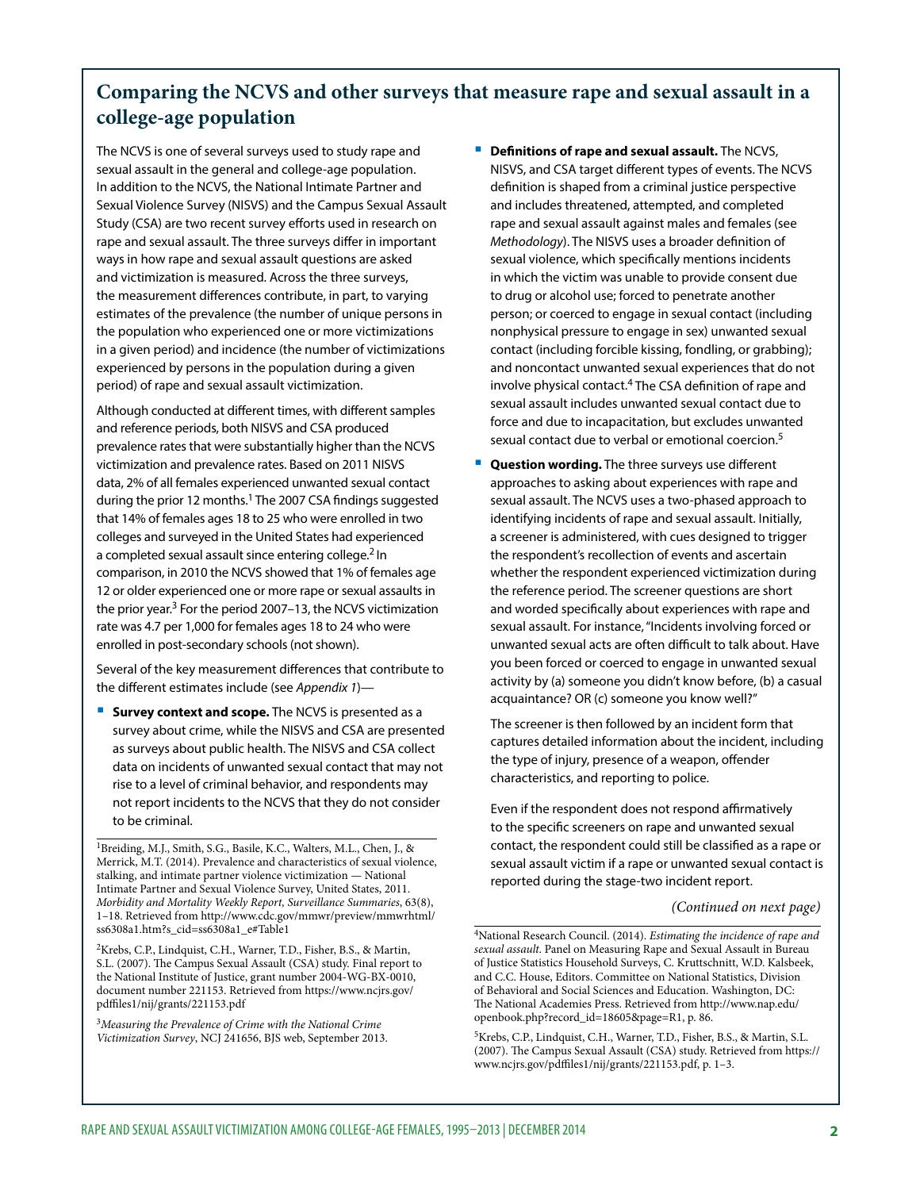# **Comparing the NCVS and other surveys that measure rape and sexual assault in a college-age population**

The NCVS is one of several surveys used to study rape and sexual assault in the general and college-age population. In addition to the NCVS, the National Intimate Partner and Sexual Violence Survey (NISVS) and the Campus Sexual Assault Study (CSA) are two recent survey efforts used in research on rape and sexual assault. The three surveys differ in important ways in how rape and sexual assault questions are asked and victimization is measured. Across the three surveys, the measurement differences contribute, in part, to varying estimates of the prevalence (the number of unique persons in the population who experienced one or more victimizations in a given period) and incidence (the number of victimizations experienced by persons in the population during a given period) of rape and sexual assault victimization.

Although conducted at different times, with different samples and reference periods, both NISVS and CSA produced prevalence rates that were substantially higher than the NCVS victimization and prevalence rates. Based on 2011 NISVS data, 2% of all females experienced unwanted sexual contact during the prior 12 months.<sup>1</sup> The 2007 CSA findings suggested that 14% of females ages 18 to 25 who were enrolled in two colleges and surveyed in the United States had experienced a completed sexual assault since entering college.<sup>2</sup> In comparison, in 2010 the NCVS showed that 1% of females age 12 or older experienced one or more rape or sexual assaults in the prior year.<sup>3</sup> For the period 2007–13, the NCVS victimization rate was 4.7 per 1,000 for females ages 18 to 24 who were enrolled in post-secondary schools (not shown).

Several of the key measurement differences that contribute to the different estimates include (see *Appendix 1*)—

**Survey context and scope.** The NCVS is presented as a survey about crime, while the NISVS and CSA are presented as surveys about public health. The NISVS and CSA collect data on incidents of unwanted sexual contact that may not rise to a level of criminal behavior, and respondents may not report incidents to the NCVS that they do not consider to be criminal.

<sup>1</sup>Breiding, M.J., Smith, S.G., Basile, K.C., Walters, M.L., Chen, J., & Merrick, M.T. (2014). Prevalence and characteristics of sexual violence, stalking, and intimate partner violence victimization — National Intimate Partner and Sexual Violence Survey, United States, 2011. *Morbidity and Mortality Weekly Report, Surveillance Summaries*, 63(8), 1–18. Retrieved from [http://www.cdc.gov/mmwr/preview/mmwrhtml/](http://www.cdc.gov/mmwr/preview/mmwrhtml/ss6308a1.htm?s_cid=ss6308a1_e#Table1) [ss6308a1.htm?s\\_cid=ss6308a1\\_e#Table1](http://www.cdc.gov/mmwr/preview/mmwrhtml/ss6308a1.htm?s_cid=ss6308a1_e#Table1)

2Krebs, C.P., Lindquist, C.H., Warner, T.D., Fisher, B.S., & Martin, S.L. (2007). The Campus Sexual Assault (CSA) study. Final report to the National Institute of Justice, grant number 2004-WG-BX-0010, document number 221153. Retrieved from [https://www.ncjrs.gov/](https://www.ncjrs.gov/pdffiles1/nij/grants/221153.pdf) [pdffiles1/nij/grants/221153.pdf](https://www.ncjrs.gov/pdffiles1/nij/grants/221153.pdf)

<sup>3</sup>*Measuring the Prevalence of Crime with the National Crime Victimization Survey*, NCJ 241656, BJS web, September 2013.

- **P** Definitions of rape and sexual assault. The NCVS, NISVS, and CSA target different types of events. The NCVS definition is shaped from a criminal justice perspective and includes threatened, attempted, and completed rape and sexual assault against males and females (see *Methodology*). The NISVS uses a broader definition of sexual violence, which specifically mentions incidents in which the victim was unable to provide consent due to drug or alcohol use; forced to penetrate another person; or coerced to engage in sexual contact (including nonphysical pressure to engage in sex) unwanted sexual contact (including forcible kissing, fondling, or grabbing); and noncontact unwanted sexual experiences that do not involve physical contact.<sup>4</sup> The CSA definition of rape and sexual assault includes unwanted sexual contact due to force and due to incapacitation, but excludes unwanted sexual contact due to verbal or emotional coercion.<sup>5</sup>
- **Question wording.** The three surveys use different approaches to asking about experiences with rape and sexual assault. The NCVS uses a two-phased approach to identifying incidents of rape and sexual assault. Initially, a screener is administered, with cues designed to trigger the respondent's recollection of events and ascertain whether the respondent experienced victimization during the reference period. The screener questions are short and worded specifically about experiences with rape and sexual assault. For instance, "Incidents involving forced or unwanted sexual acts are often difficult to talk about. Have you been forced or coerced to engage in unwanted sexual activity by (a) someone you didn't know before, (b) a casual acquaintance? OR (c) someone you know well?"

The screener is then followed by an incident form that captures detailed information about the incident, including the type of injury, presence of a weapon, offender characteristics, and reporting to police.

Even if the respondent does not respond affirmatively to the specific screeners on rape and unwanted sexual contact, the respondent could still be classified as a rape or sexual assault victim if a rape or unwanted sexual contact is reported during the stage-two incident report.

#### *(Continued on next page)*

4National Research Council. (2014). *Estimating the incidence of rape and sexual assault*. Panel on Measuring Rape and Sexual Assault in Bureau of Justice Statistics Household Surveys, C. Kruttschnitt, W.D. Kalsbeek, and C.C. House, Editors. Committee on National Statistics, Division of Behavioral and Social Sciences and Education. Washington, DC: The National Academies Press. Retrieved from [http://www.nap.edu/](http://www.nap.edu/openbook.php?record_id=18605&page=R1, p. 86) [openbook.php?record\\_id=18605&page=R1, p. 86](http://www.nap.edu/openbook.php?record_id=18605&page=R1, p. 86).

5Krebs, C.P., Lindquist, C.H., Warner, T.D., Fisher, B.S., & Martin, S.L. (2007). The Campus Sexual Assault (CSA) study. Retrieved from https:// www.ncjrs.gov/pdffiles1/nij/grants/221153.pdf, p. 1–3.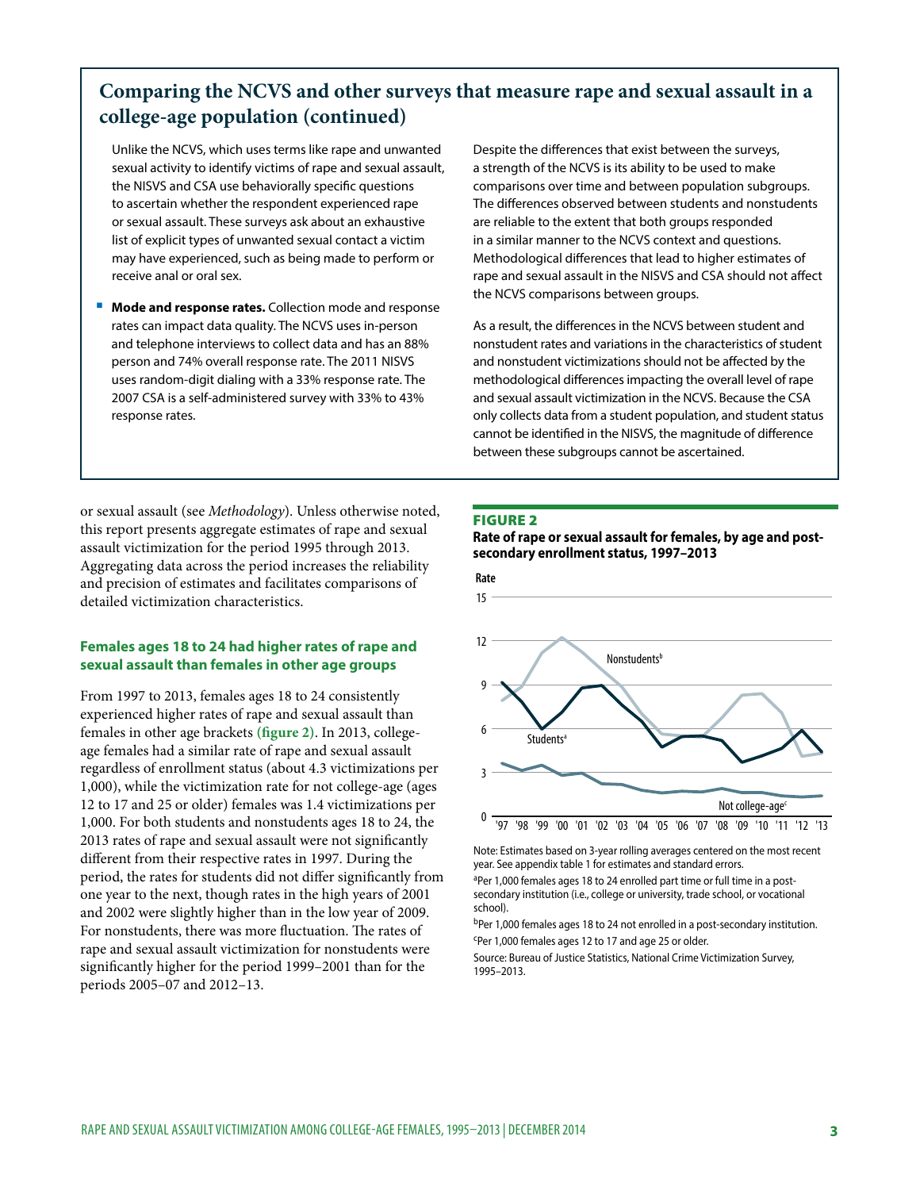# **Comparing the NCVS and other surveys that measure rape and sexual assault in a college-age population (continued)**

Unlike the NCVS, which uses terms like rape and unwanted sexual activity to identify victims of rape and sexual assault, the NISVS and CSA use behaviorally specific questions to ascertain whether the respondent experienced rape or sexual assault. These surveys ask about an exhaustive list of explicit types of unwanted sexual contact a victim may have experienced, such as being made to perform or receive anal or oral sex.

 **Mode and response rates.** Collection mode and response rates can impact data quality. The NCVS uses in-person and telephone interviews to collect data and has an 88% person and 74% overall response rate. The 2011 NISVS uses random-digit dialing with a 33% response rate. The 2007 CSA is a self-administered survey with 33% to 43% response rates.

Despite the differences that exist between the surveys, a strength of the NCVS is its ability to be used to make comparisons over time and between population subgroups. The differences observed between students and nonstudents are reliable to the extent that both groups responded in a similar manner to the NCVS context and questions. Methodological differences that lead to higher estimates of rape and sexual assault in the NISVS and CSA should not affect the NCVS comparisons between groups.

As a result, the differences in the NCVS between student and nonstudent rates and variations in the characteristics of student and nonstudent victimizations should not be affected by the methodological differences impacting the overall level of rape and sexual assault victimization in the NCVS. Because the CSA only collects data from a student population, and student status cannot be identified in the NISVS, the magnitude of difference between these subgroups cannot be ascertained.

or sexual assault (see *Methodology*). Unless otherwise noted, this report presents aggregate estimates of rape and sexual assault victimization for the period 1995 through 2013. Aggregating data across the period increases the reliability and precision of estimates and facilitates comparisons of detailed victimization characteristics.

# **Females ages 18 to 24 had higher rates of rape and sexual assault than females in other age groups**

From 1997 to 2013, females ages 18 to 24 consistently experienced higher rates of rape and sexual assault than females in other age brackets **(figure 2)**. In 2013, collegeage females had a similar rate of rape and sexual assault regardless of enrollment status (about 4.3 victimizations per 1,000), while the victimization rate for not college-age (ages 12 to 17 and 25 or older) females was 1.4 victimizations per 1,000. For both students and nonstudents ages 18 to 24, the 2013 rates of rape and sexual assault were not significantly different from their respective rates in 1997. During the period, the rates for students did not differ significantly from one year to the next, though rates in the high years of 2001 and 2002 were slightly higher than in the low year of 2009. For nonstudents, there was more fluctuation. The rates of rape and sexual assault victimization for nonstudents were significantly higher for the period 1999–2001 than for the periods 2005–07 and 2012–13.

## Figure 2

### **Rate of rape or sexual assault for females, by age and postsecondary enrollment status, 1997–2013**



Note: Estimates based on 3-year rolling averages centered on the most recent year. See appendix table 1 for estimates and standard errors.

aPer 1,000 females ages 18 to 24 enrolled part time or full time in a postsecondary institution (i.e., college or university, trade school, or vocational school).

bPer 1,000 females ages 18 to 24 not enrolled in a post-secondary institution. cPer 1,000 females ages 12 to 17 and age 25 or older.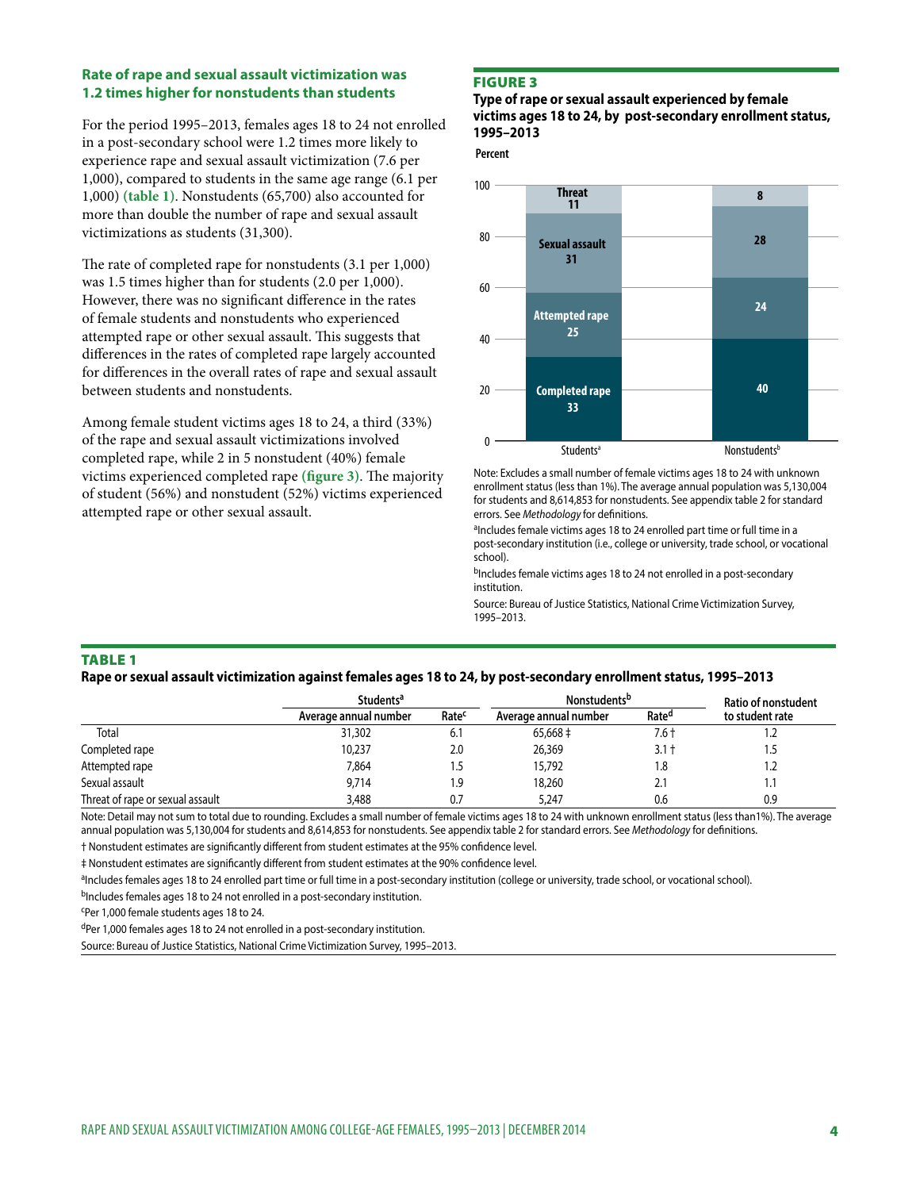## **Rate of rape and sexual assault victimization was 1.2 times higher for nonstudents than students**

For the period 1995–2013, females ages 18 to 24 not enrolled in a post-secondary school were 1.2 times more likely to experience rape and sexual assault victimization (7.6 per 1,000), compared to students in the same age range (6.1 per 1,000) **(table 1)**. Nonstudents (65,700) also accounted for more than double the number of rape and sexual assault victimizations as students (31,300).

The rate of completed rape for nonstudents (3.1 per 1,000) was 1.5 times higher than for students (2.0 per 1,000). However, there was no significant difference in the rates of female students and nonstudents who experienced attempted rape or other sexual assault. This suggests that differences in the rates of completed rape largely accounted for differences in the overall rates of rape and sexual assault between students and nonstudents.

Among female student victims ages 18 to 24, a third (33%) of the rape and sexual assault victimizations involved completed rape, while 2 in 5 nonstudent (40%) female victims experienced completed rape **(figure 3)**. The majority of student (56%) and nonstudent (52%) victims experienced attempted rape or other sexual assault.

# **FIGURE 3**

## **Type of rape or sexual assault experienced by female victims ages 18 to 24, by post-secondary enrollment status, 1995–2013**

**Percent**



Note: Excludes a small number of female victims ages 18 to 24 with unknown enrollment status (less than 1%). The average annual population was 5,130,004 for students and 8,614,853 for nonstudents. See appendix table 2 for standard errors. See *Methodology* for definitions.

<sup>a</sup>Includes female victims ages 18 to 24 enrolled part time or full time in a post-secondary institution (i.e., college or university, trade school, or vocational school).

bIncludes female victims ages 18 to 24 not enrolled in a post-secondary institution.

Source: Bureau of Justice Statistics, National Crime Victimization Survey, 1995–2013.

# Table 1

**Rape or sexual assault victimization against females ages 18 to 24, by post-secondary enrollment status, 1995–2013**

|                                  | <b>Students<sup>a</sup></b> |                   | Nonstudents <sup>b</sup> | Ratio of nonstudent |                 |
|----------------------------------|-----------------------------|-------------------|--------------------------|---------------------|-----------------|
|                                  | Average annual number       | Rate <sup>c</sup> | Average annual number    | Rate <sup>d</sup>   | to student rate |
| Total                            | 31,302                      | 6.1               | $65.668 \pm$             | 7.6 t               | 1.2             |
| Completed rape                   | 10,237                      | 2.0               | 26,369                   | 3.1 t               | 1.5             |
| Attempted rape                   | 7,864                       | د. ا              | 15,792                   | 8.ا                 | 1.2             |
| Sexual assault                   | 9.714                       | 1.9               | 18,260                   | 2.1                 | 1.1             |
| Threat of rape or sexual assault | 3,488                       | 0.7               | 5,247                    | 0.6                 | 0.9             |

Note: Detail may not sum to total due to rounding. Excludes a small number of female victims ages 18 to 24 with unknown enrollment status (less than1%). The average annual population was 5,130,004 for students and 8,614,853 for nonstudents. See appendix table 2 for standard errors. See *Methodology* for definitions.

† Nonstudent estimates are significantly different from student estimates at the 95% confidence level.

‡ Nonstudent estimates are significantly different from student estimates at the 90% confidence level.

aIncludes females ages 18 to 24 enrolled part time or full time in a post-secondary institution (college or university, trade school, or vocational school).

b<sub>Includes</sub> females ages 18 to 24 not enrolled in a post-secondary institution.

cPer 1,000 female students ages 18 to 24.

dPer 1,000 females ages 18 to 24 not enrolled in a post-secondary institution.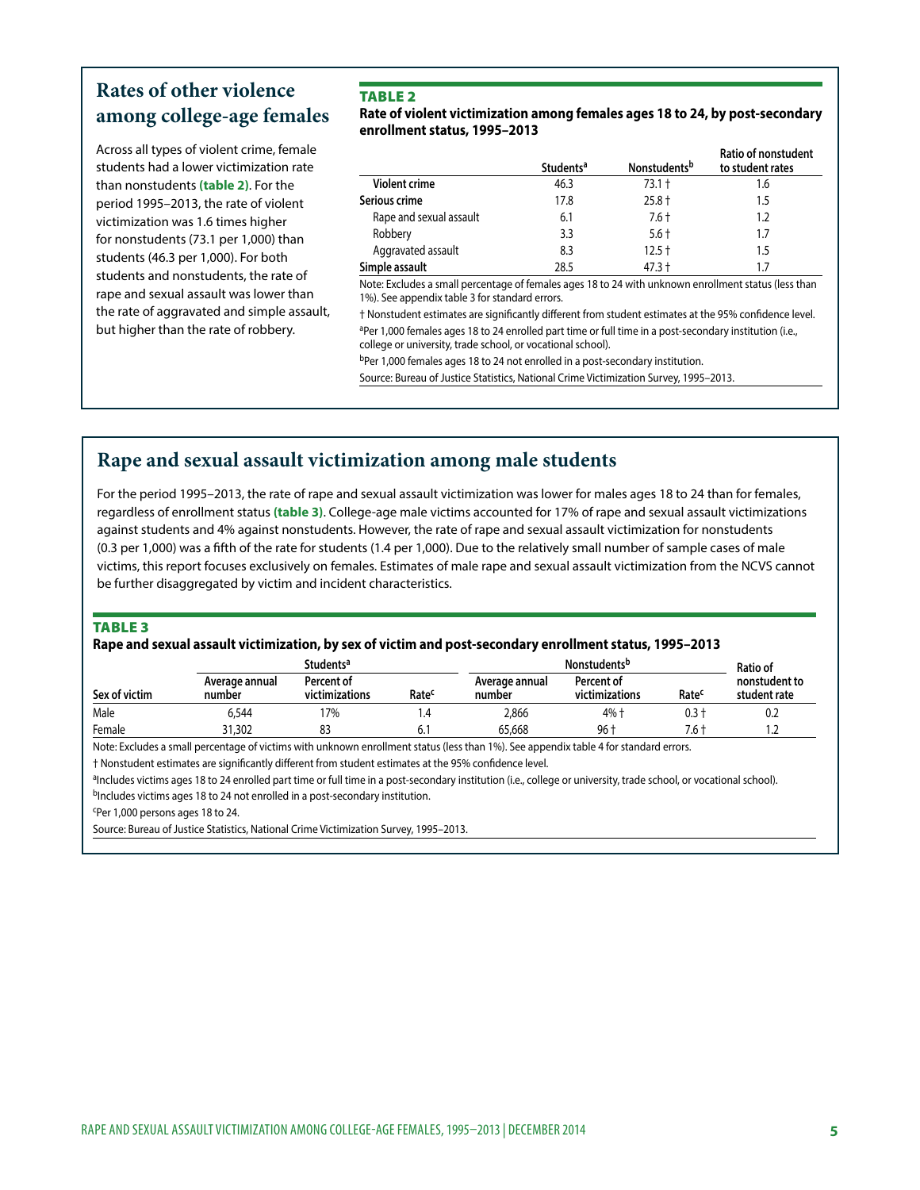# **Rates of other violence among college-age females**

Across all types of violent crime, female students had a lower victimization rate than nonstudents **(table 2)**. For the period 1995–2013, the rate of violent victimization was 1.6 times higher for nonstudents (73.1 per 1,000) than students (46.3 per 1,000). For both students and nonstudents, the rate of rape and sexual assault was lower than the rate of aggravated and simple assault, but higher than the rate of robbery.

# **TABLE 2**

**Rate of violent victimization among females ages 18 to 24, by post-secondary enrollment status, 1995–2013**

|                         | <b>Students<sup>a</sup></b> | Nonstudents <sup>b</sup> | Ratio of nonstudent<br>to student rates |
|-------------------------|-----------------------------|--------------------------|-----------------------------------------|
| <b>Violent crime</b>    | 46.3                        | $73.1 +$                 | 1.6                                     |
| Serious crime           | 17.8                        | $25.8 +$                 | 1.5                                     |
| Rape and sexual assault | 6.1                         | $7.6+$                   | 1.2                                     |
| Robbery                 | 3.3                         | $5.6 +$                  | 1.7                                     |
| Aggravated assault      | 8.3                         | $12.5 +$                 | 1.5                                     |
| Simple assault          | 28.5                        | $47.3 +$                 | 1.7                                     |

Note: Excludes a small percentage of females ages 18 to 24 with unknown enrollment status (less than 1%). See appendix table 3 for standard errors.

† Nonstudent estimates are significantly different from student estimates at the 95% confidence level. <sup>a</sup>Per 1.000 females ages 18 to 24 enrolled part time or full time in a post-secondary institution (i.e., college or university, trade school, or vocational school).

b<sub>Per 1,000</sub> females ages 18 to 24 not enrolled in a post-secondary institution.

Source: Bureau of Justice Statistics, National Crime Victimization Survey, 1995–2013.

# **Rape and sexual assault victimization among male students**

For the period 1995–2013, the rate of rape and sexual assault victimization was lower for males ages 18 to 24 than for females, regardless of enrollment status **(table 3)**. College-age male victims accounted for 17% of rape and sexual assault victimizations against students and 4% against nonstudents. However, the rate of rape and sexual assault victimization for nonstudents (0.3 per 1,000) was a fifth of the rate for students (1.4 per 1,000). Due to the relatively small number of sample cases of male victims, this report focuses exclusively on females. Estimates of male rape and sexual assault victimization from the NCVS cannot be further disaggregated by victim and incident characteristics.

#### **TABLE 3**

### **Rape and sexual assault victimization, by sex of victim and post-secondary enrollment status, 1995–2013**

| <b>Students<sup>a</sup></b> |                          |                              | Nonstudents <sup>b</sup> |                          |                              | Ratio of          |                               |
|-----------------------------|--------------------------|------------------------------|--------------------------|--------------------------|------------------------------|-------------------|-------------------------------|
| Sex of victim               | Average annual<br>number | Percent of<br>victimizations | Rate <sup>c</sup>        | Average annual<br>number | Percent of<br>victimizations | Rate <sup>c</sup> | nonstudent to<br>student rate |
| Male                        | 6.544                    | 17%                          | ۰.4                      | 2.866                    | $4\% +$                      | 0.3 t             | 0.2                           |
| Female                      | 31,302                   | 83                           | 6.                       | 65,668                   | 96 t                         | 7.6 †             | $\overline{\phantom{a}}$      |

Note: Excludes a small percentage of victims with unknown enrollment status (less than 1%). See appendix table 4 for standard errors.

† Nonstudent estimates are significantly different from student estimates at the 95% confidence level.

aIncludes victims ages 18 to 24 enrolled part time or full time in a post-secondary institution (i.e., college or university, trade school, or vocational school). b<sub>Includes</sub> victims ages 18 to 24 not enrolled in a post-secondary institution.

cPer 1,000 persons ages 18 to 24.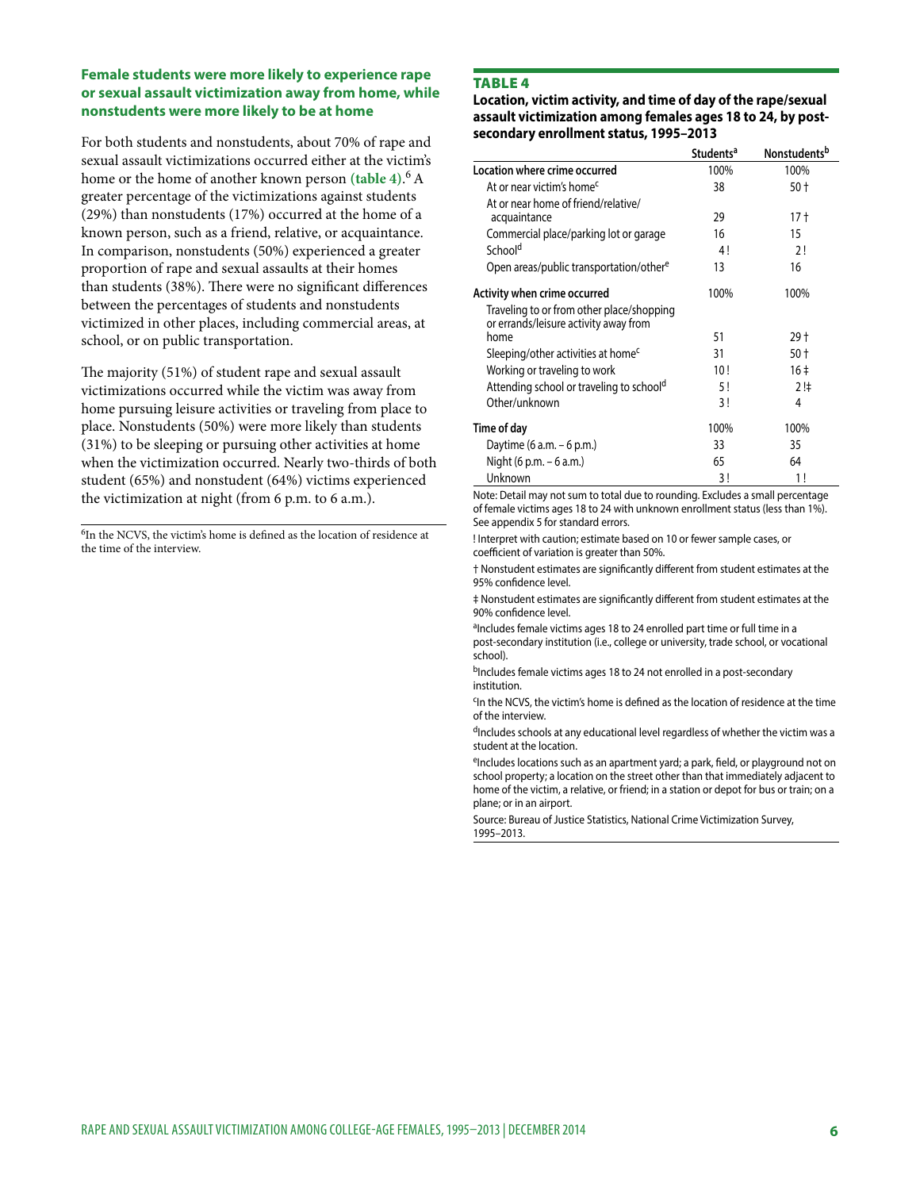# **Female students were more likely to experience rape or sexual assault victimization away from home, while nonstudents were more likely to be at home**

For both students and nonstudents, about 70% of rape and sexual assault victimizations occurred either at the victim's home or the home of another known person **(table 4)**. 6 A greater percentage of the victimizations against students (29%) than nonstudents (17%) occurred at the home of a known person, such as a friend, relative, or acquaintance. In comparison, nonstudents (50%) experienced a greater proportion of rape and sexual assaults at their homes than students (38%). There were no significant differences between the percentages of students and nonstudents victimized in other places, including commercial areas, at school, or on public transportation.

The majority (51%) of student rape and sexual assault victimizations occurred while the victim was away from home pursuing leisure activities or traveling from place to place. Nonstudents (50%) were more likely than students (31%) to be sleeping or pursuing other activities at home when the victimization occurred. Nearly two-thirds of both student (65%) and nonstudent (64%) victims experienced the victimization at night (from 6 p.m. to 6 a.m.).

<sup>6</sup>In the NCVS, the victim's home is defined as the location of residence at the time of the interview.

## **TABLE 4**

**Location, victim activity, and time of day of the rape/sexual assault victimization among females ages 18 to 24, by postsecondary enrollment status, 1995–2013**

|                                                                                    | <b>Students<sup>a</sup></b> | Nonstudents <sup>b</sup> |
|------------------------------------------------------------------------------------|-----------------------------|--------------------------|
| Location where crime occurred                                                      | 100%                        | 100%                     |
| At or near victim's home <sup>c</sup>                                              | 38                          | 50 †                     |
| At or near home of friend/relative/<br>acquaintance                                | 29                          | 17 <sub>†</sub>          |
| Commercial place/parking lot or garage                                             | 16                          | 15                       |
| School <sup>d</sup>                                                                | 4!                          | 2!                       |
| Open areas/public transportation/other <sup>e</sup>                                | 13                          | 16                       |
| Activity when crime occurred                                                       | 100%                        | 100%                     |
| Traveling to or from other place/shopping<br>or errands/leisure activity away from |                             |                          |
| home                                                                               | 51                          | 29 t                     |
| Sleeping/other activities at home <sup>c</sup>                                     | 31                          | 50 t                     |
| Working or traveling to work                                                       | 10!                         | $16+$                    |
| Attending school or traveling to schoold                                           | 5!                          | 2!f                      |
| Other/unknown                                                                      | 3!                          | 4                        |
| Time of day                                                                        | 100%                        | 100%                     |
| Daytime (6 a.m. – 6 p.m.)                                                          | 33                          | 35                       |
| Night $(6 p.m. - 6 a.m.)$                                                          | 65                          | 64                       |
| Unknown                                                                            | 3!                          | 1!                       |

Note: Detail may not sum to total due to rounding. Excludes a small percentage of female victims ages 18 to 24 with unknown enrollment status (less than 1%). See appendix 5 for standard errors.

! Interpret with caution; estimate based on 10 or fewer sample cases, or coefficient of variation is greater than 50%.

† Nonstudent estimates are significantly different from student estimates at the 95% confidence level.

‡ Nonstudent estimates are significantly different from student estimates at the 90% confidence level.

<sup>a</sup>Includes female victims ages 18 to 24 enrolled part time or full time in a post-secondary institution (i.e., college or university, trade school, or vocational school).

bIncludes female victims ages 18 to 24 not enrolled in a post-secondary institution.

<sup>c</sup>In the NCVS, the victim's home is defined as the location of residence at the time of the interview.

dIncludes schools at any educational level regardless of whether the victim was a student at the location.

eIncludes locations such as an apartment yard; a park, field, or playground not on school property; a location on the street other than that immediately adjacent to home of the victim, a relative, or friend; in a station or depot for bus or train; on a plane; or in an airport.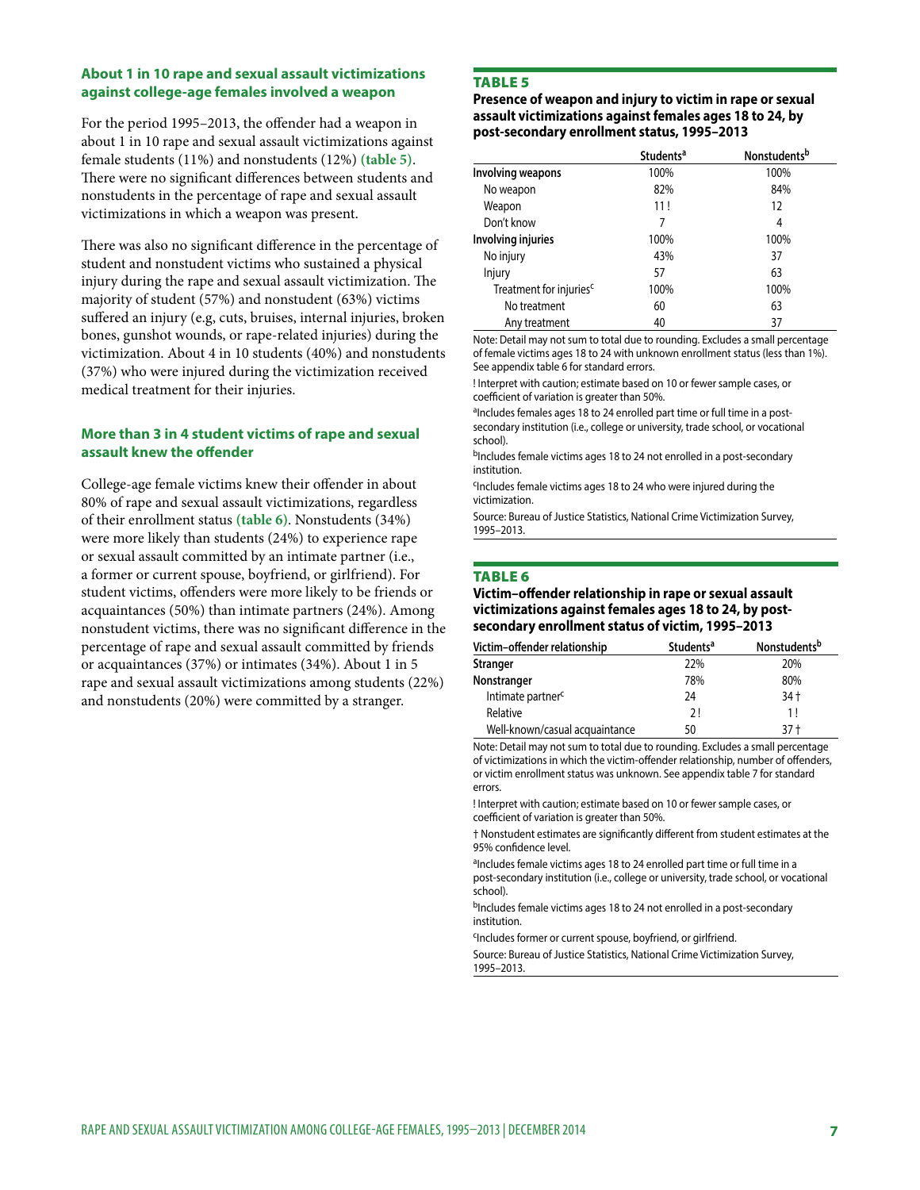# **About 1 in 10 rape and sexual assault victimizations against college-age females involved a weapon**

For the period 1995–2013, the offender had a weapon in about 1 in 10 rape and sexual assault victimizations against female students (11%) and nonstudents (12%) **(table 5)**. There were no significant differences between students and nonstudents in the percentage of rape and sexual assault victimizations in which a weapon was present.

There was also no significant difference in the percentage of student and nonstudent victims who sustained a physical injury during the rape and sexual assault victimization. The majority of student (57%) and nonstudent (63%) victims suffered an injury (e.g, cuts, bruises, internal injuries, broken bones, gunshot wounds, or rape-related injuries) during the victimization. About 4 in 10 students (40%) and nonstudents (37%) who were injured during the victimization received medical treatment for their injuries.

# **More than 3 in 4 student victims of rape and sexual assault knew the offender**

College-age female victims knew their offender in about 80% of rape and sexual assault victimizations, regardless of their enrollment status **(table 6)**. Nonstudents (34%) were more likely than students (24%) to experience rape or sexual assault committed by an intimate partner (i.e., a former or current spouse, boyfriend, or girlfriend). For student victims, offenders were more likely to be friends or acquaintances (50%) than intimate partners (24%). Among nonstudent victims, there was no significant difference in the percentage of rape and sexual assault committed by friends or acquaintances (37%) or intimates (34%). About 1 in 5 rape and sexual assault victimizations among students (22%) and nonstudents (20%) were committed by a stranger.

# **TABLE 5**

#### **Presence of weapon and injury to victim in rape or sexual assault victimizations against females ages 18 to 24, by post-secondary enrollment status, 1995–2013**

|                                     | <b>Students<sup>a</sup></b> | Nonstudents <sup>b</sup> |
|-------------------------------------|-----------------------------|--------------------------|
| Involving weapons                   | 100%                        | 100%                     |
| No weapon                           | 82%                         | 84%                      |
| Weapon                              | 11!                         | 12                       |
| Don't know                          | 7                           | 4                        |
| Involving injuries                  | 100%                        | 100%                     |
| No injury                           | 43%                         | 37                       |
| Injury                              | 57                          | 63                       |
| Treatment for injuries <sup>c</sup> | 100%                        | 100%                     |
| No treatment                        | 60                          | 63                       |
| Any treatment                       | 40                          | 37                       |

Note: Detail may not sum to total due to rounding. Excludes a small percentage of female victims ages 18 to 24 with unknown enrollment status (less than 1%). See appendix table 6 for standard errors.

! Interpret with caution; estimate based on 10 or fewer sample cases, or coefficient of variation is greater than 50%.

<sup>a</sup>Includes females ages 18 to 24 enrolled part time or full time in a postsecondary institution (i.e., college or university, trade school, or vocational school).

b<sub>Includes</sub> female victims ages 18 to 24 not enrolled in a post-secondary institution.

cIncludes female victims ages 18 to 24 who were injured during the victimization.

Source: Bureau of Justice Statistics, National Crime Victimization Survey, 1995–2013.

## **TABLE 6**

#### **Victim–offender relationship in rape or sexual assault victimizations against females ages 18 to 24, by postsecondary enrollment status of victim, 1995–2013**

| Victim–offender relationship   | <b>Students<sup>a</sup></b> | Nonstudents <sup>b</sup> |
|--------------------------------|-----------------------------|--------------------------|
| Stranger                       | 22%                         | 20%                      |
| Nonstranger                    | 78%                         | 80%                      |
| Intimate partner <sup>c</sup>  | 24                          | 34 t                     |
| Relative                       | 21                          | 11                       |
| Well-known/casual acquaintance | 50                          | 37 t                     |

Note: Detail may not sum to total due to rounding. Excludes a small percentage of victimizations in which the victim-offender relationship, number of offenders, or victim enrollment status was unknown. See appendix table 7 for standard errors.

! Interpret with caution; estimate based on 10 or fewer sample cases, or coefficient of variation is greater than 50%.

† Nonstudent estimates are significantly different from student estimates at the 95% confidence level.

<sup>a</sup>Includes female victims ages 18 to 24 enrolled part time or full time in a post-secondary institution (i.e., college or university, trade school, or vocational school).

bIncludes female victims ages 18 to 24 not enrolled in a post-secondary institution.

cIncludes former or current spouse, boyfriend, or girlfriend.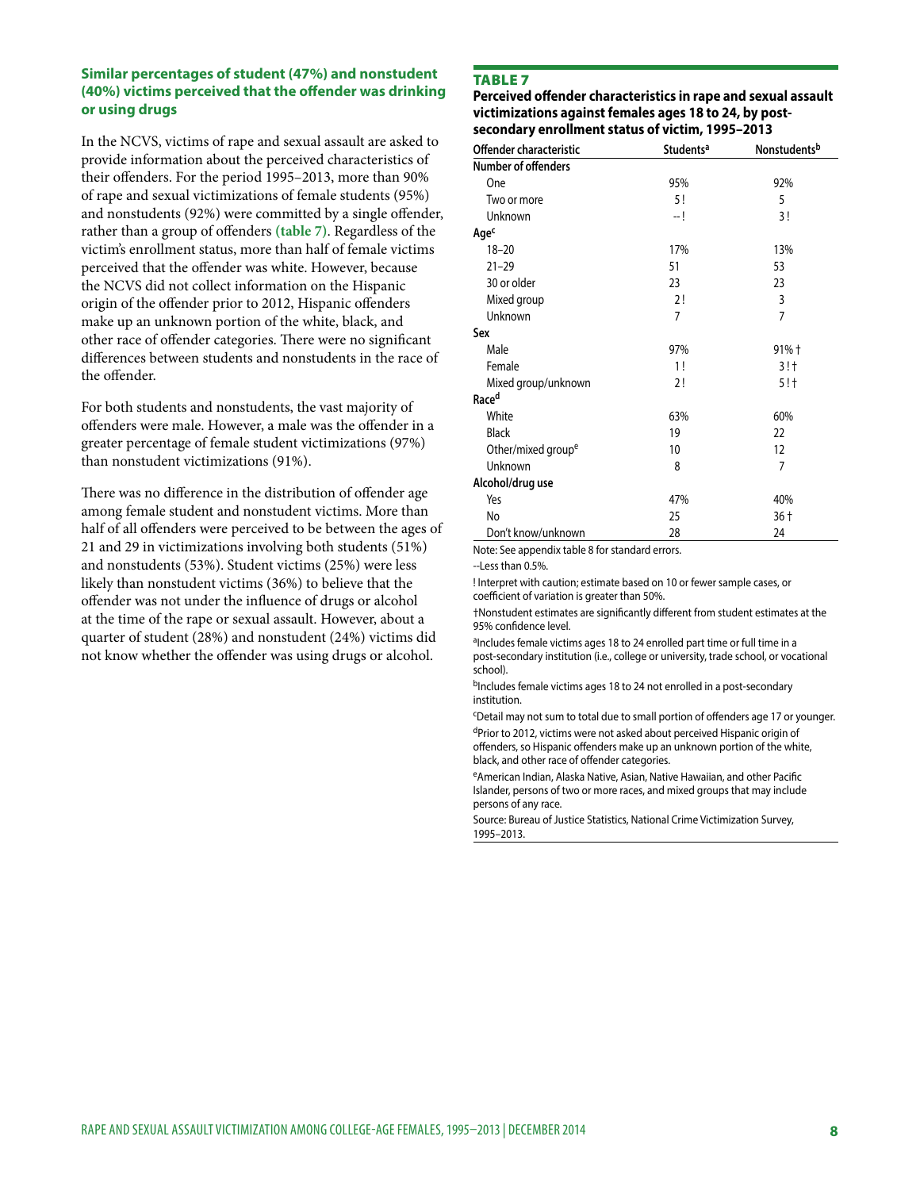# **Similar percentages of student (47%) and nonstudent (40%) victims perceived that the offender was drinking or using drugs**

In the NCVS, victims of rape and sexual assault are asked to provide information about the perceived characteristics of their offenders. For the period 1995–2013, more than 90% of rape and sexual victimizations of female students (95%) and nonstudents (92%) were committed by a single offender, rather than a group of offenders **(table 7)**. Regardless of the victim's enrollment status, more than half of female victims perceived that the offender was white. However, because the NCVS did not collect information on the Hispanic origin of the offender prior to 2012, Hispanic offenders make up an unknown portion of the white, black, and other race of offender categories. There were no significant differences between students and nonstudents in the race of the offender.

For both students and nonstudents, the vast majority of offenders were male. However, a male was the offender in a greater percentage of female student victimizations (97%) than nonstudent victimizations (91%).

There was no difference in the distribution of offender age among female student and nonstudent victims. More than half of all offenders were perceived to be between the ages of 21 and 29 in victimizations involving both students (51%) and nonstudents (53%). Student victims (25%) were less likely than nonstudent victims (36%) to believe that the offender was not under the influence of drugs or alcohol at the time of the rape or sexual assault. However, about a quarter of student (28%) and nonstudent (24%) victims did not know whether the offender was using drugs or alcohol.

# **TABLE 7**

#### **Perceived offender characteristics in rape and sexual assault victimizations against females ages 18 to 24, by postsecondary enrollment status of victim, 1995–2013**

| Offender characteristic        | <b>Students<sup>a</sup></b> | Nonstudents <sup>b</sup> |
|--------------------------------|-----------------------------|--------------------------|
| <b>Number of offenders</b>     |                             |                          |
| <b>One</b>                     | 95%                         | 92%                      |
| Two or more                    | 5!                          | 5                        |
| Unknown                        | -- !                        | 3!                       |
| Age <sup>c</sup>               |                             |                          |
| $18 - 20$                      | 17%                         | 13%                      |
| $21 - 29$                      | 51                          | 53                       |
| 30 or older                    | 23                          | 23                       |
| Mixed group                    | 2!                          | 3                        |
| Unknown                        | 7                           | $\overline{7}$           |
| Sex                            |                             |                          |
| Male                           | 97%                         | 91% t                    |
| Female                         | 1!                          | 3!†                      |
| Mixed group/unknown            | 2!                          | 5!                       |
| Race <sup>d</sup>              |                             |                          |
| White                          | 63%                         | 60%                      |
| <b>Black</b>                   | 19                          | 22                       |
| Other/mixed group <sup>e</sup> | 10                          | 12                       |
| Unknown                        | 8                           | 7                        |
| Alcohol/drug use               |                             |                          |
| Yes                            | 47%                         | 40%                      |
| No                             | 25                          | 36 t                     |
| Don't know/unknown             | 28                          | 24                       |

Note: See appendix table 8 for standard errors.

--Less than 0.5%.

! Interpret with caution; estimate based on 10 or fewer sample cases, or coefficient of variation is greater than 50%.

†Nonstudent estimates are significantly different from student estimates at the 95% confidence level.

aIncludes female victims ages 18 to 24 enrolled part time or full time in a post-secondary institution (i.e., college or university, trade school, or vocational school).

bIncludes female victims ages 18 to 24 not enrolled in a post-secondary institution.

cDetail may not sum to total due to small portion of offenders age 17 or younger. dPrior to 2012, victims were not asked about perceived Hispanic origin of offenders, so Hispanic offenders make up an unknown portion of the white, black, and other race of offender categories.

eAmerican Indian, Alaska Native, Asian, Native Hawaiian, and other Pacific Islander, persons of two or more races, and mixed groups that may include persons of any race.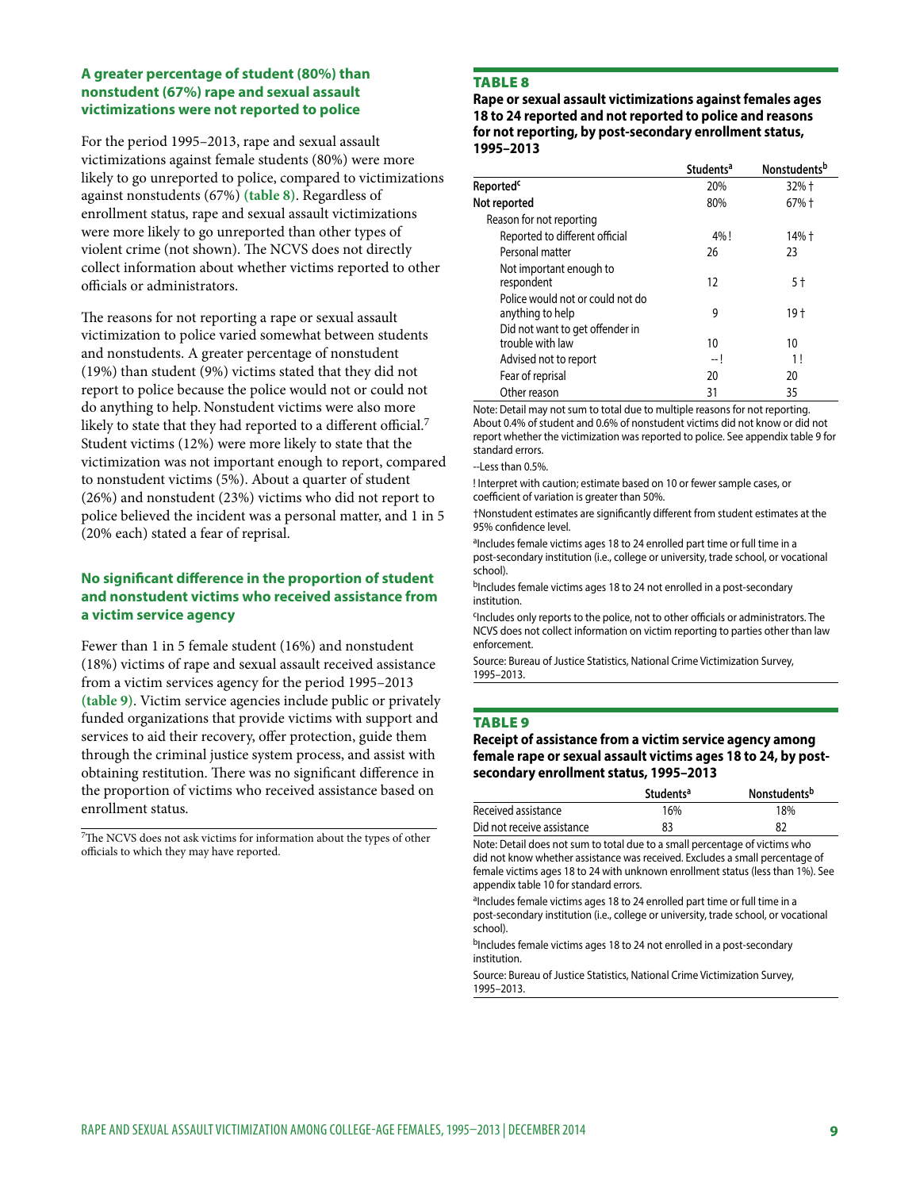# **A greater percentage of student (80%) than nonstudent (67%) rape and sexual assault victimizations were not reported to police**

For the period 1995–2013, rape and sexual assault victimizations against female students (80%) were more likely to go unreported to police, compared to victimizations against nonstudents (67%) **(table 8)**. Regardless of enrollment status, rape and sexual assault victimizations were more likely to go unreported than other types of violent crime (not shown). The NCVS does not directly collect information about whether victims reported to other officials or administrators.

The reasons for not reporting a rape or sexual assault victimization to police varied somewhat between students and nonstudents. A greater percentage of nonstudent (19%) than student (9%) victims stated that they did not report to police because the police would not or could not do anything to help. Nonstudent victims were also more likely to state that they had reported to a different official.<sup>7</sup> Student victims (12%) were more likely to state that the victimization was not important enough to report, compared to nonstudent victims (5%). About a quarter of student (26%) and nonstudent (23%) victims who did not report to police believed the incident was a personal matter, and 1 in 5 (20% each) stated a fear of reprisal.

# **No significant difference in the proportion of student and nonstudent victims who received assistance from a victim service agency**

Fewer than 1 in 5 female student (16%) and nonstudent (18%) victims of rape and sexual assault received assistance from a victim services agency for the period 1995–2013 **(table 9)**. Victim service agencies include public or privately funded organizations that provide victims with support and services to aid their recovery, offer protection, guide them through the criminal justice system process, and assist with obtaining restitution. There was no significant difference in the proportion of victims who received assistance based on enrollment status.

7The NCVS does not ask victims for information about the types of other officials to which they may have reported.

# Table 8

**Rape or sexual assault victimizations against females ages 18 to 24 reported and not reported to police and reasons for not reporting, by post-secondary enrollment status, 1995–2013**

|                                                      | <b>Students<sup>a</sup></b> | Nonstudents <sup>b</sup> |
|------------------------------------------------------|-----------------------------|--------------------------|
| Reported <sup>c</sup>                                | 20%                         | $32%$ $\dagger$          |
| Not reported                                         | 80%                         | 67% †                    |
| Reason for not reporting                             |                             |                          |
| Reported to different official                       | $4\%$ !                     | 14% †                    |
| Personal matter                                      | 26                          | 23                       |
| Not important enough to<br>respondent                | 12                          | 5†                       |
| Police would not or could not do<br>anything to help | 9                           | 19 t                     |
| Did not want to get offender in<br>trouble with law  | 10                          | 10                       |
| Advised not to report                                | -- !                        | 1 !                      |
| Fear of reprisal                                     | 20                          | 20                       |
| Other reason                                         | 31                          | 35                       |

Note: Detail may not sum to total due to multiple reasons for not reporting. About 0.4% of student and 0.6% of nonstudent victims did not know or did not report whether the victimization was reported to police. See appendix table 9 for standard errors.

#### --Less than 0.5%.

! Interpret with caution; estimate based on 10 or fewer sample cases, or coefficient of variation is greater than 50%.

†Nonstudent estimates are significantly different from student estimates at the 95% confidence level.

aIncludes female victims ages 18 to 24 enrolled part time or full time in a post-secondary institution (i.e., college or university, trade school, or vocational school).

bIncludes female victims ages 18 to 24 not enrolled in a post-secondary institution.

cIncludes only reports to the police, not to other officials or administrators. The NCVS does not collect information on victim reporting to parties other than law enforcement.

Source: Bureau of Justice Statistics, National Crime Victimization Survey, 1995–2013.

# **TABLE 9**

#### **Receipt of assistance from a victim service agency among female rape or sexual assault victims ages 18 to 24, by postsecondary enrollment status, 1995–2013**

|                            | Students <sup>a</sup> | Nonstudents <sup>b</sup> |
|----------------------------|-----------------------|--------------------------|
| Received assistance        | 16%                   | 18%                      |
| Did not receive assistance | 83                    | 82                       |

Note: Detail does not sum to total due to a small percentage of victims who did not know whether assistance was received. Excludes a small percentage of female victims ages 18 to 24 with unknown enrollment status (less than 1%). See appendix table 10 for standard errors.

<sup>a</sup>Includes female victims ages 18 to 24 enrolled part time or full time in a post-secondary institution (i.e., college or university, trade school, or vocational school).

bIncludes female victims ages 18 to 24 not enrolled in a post-secondary institution.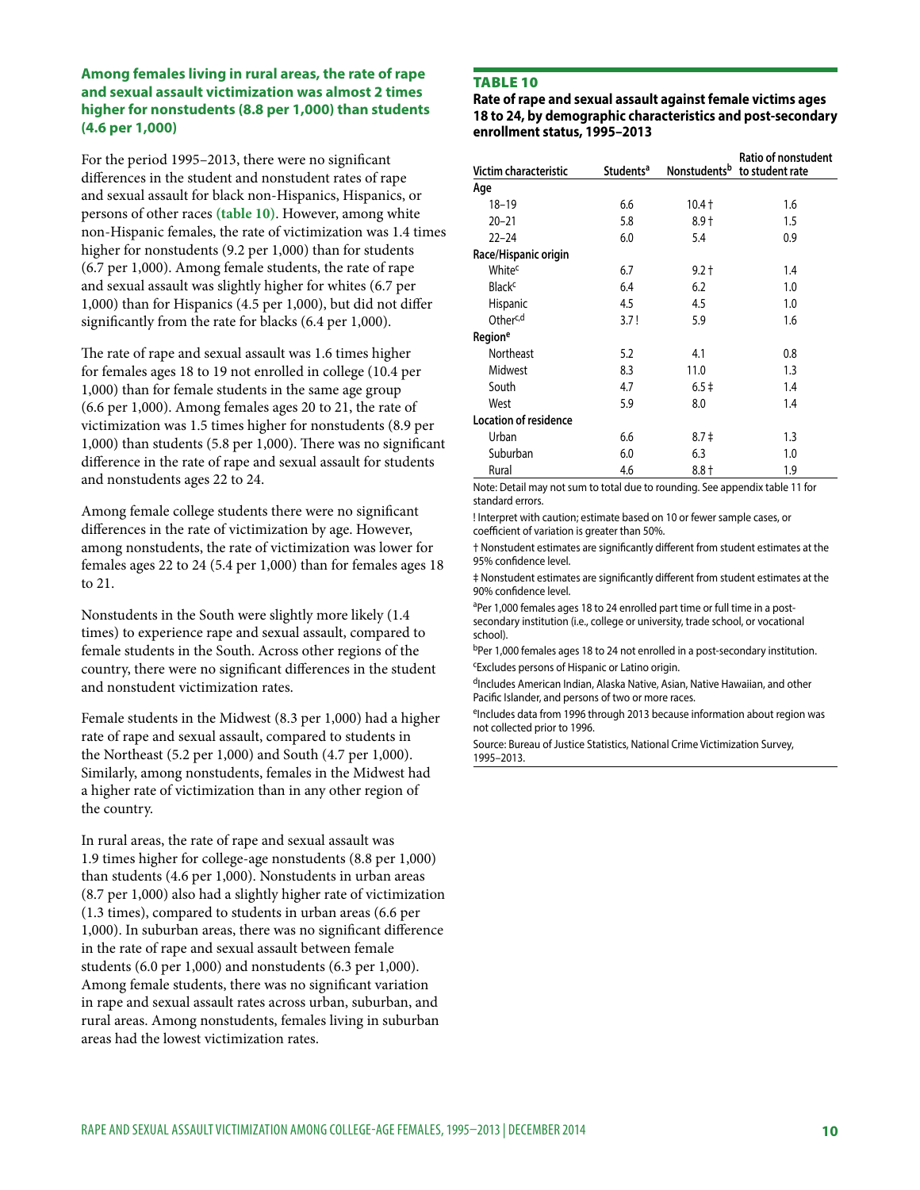# **Among females living in rural areas, the rate of rape and sexual assault victimization was almost 2 times higher for nonstudents (8.8 per 1,000) than students (4.6 per 1,000)**

For the period 1995–2013, there were no significant differences in the student and nonstudent rates of rape and sexual assault for black non-Hispanics, Hispanics, or persons of other races **(table 10)**. However, among white non-Hispanic females, the rate of victimization was 1.4 times higher for nonstudents (9.2 per 1,000) than for students (6.7 per 1,000). Among female students, the rate of rape and sexual assault was slightly higher for whites (6.7 per 1,000) than for Hispanics (4.5 per 1,000), but did not differ significantly from the rate for blacks (6.4 per 1,000).

The rate of rape and sexual assault was 1.6 times higher for females ages 18 to 19 not enrolled in college (10.4 per 1,000) than for female students in the same age group (6.6 per 1,000). Among females ages 20 to 21, the rate of victimization was 1.5 times higher for nonstudents (8.9 per 1,000) than students (5.8 per 1,000). There was no significant difference in the rate of rape and sexual assault for students and nonstudents ages 22 to 24.

Among female college students there were no significant differences in the rate of victimization by age. However, among nonstudents, the rate of victimization was lower for females ages 22 to 24 (5.4 per 1,000) than for females ages 18 to 21.

Nonstudents in the South were slightly more likely (1.4 times) to experience rape and sexual assault, compared to female students in the South. Across other regions of the country, there were no significant differences in the student and nonstudent victimization rates.

Female students in the Midwest (8.3 per 1,000) had a higher rate of rape and sexual assault, compared to students in the Northeast (5.2 per 1,000) and South (4.7 per 1,000). Similarly, among nonstudents, females in the Midwest had a higher rate of victimization than in any other region of the country.

In rural areas, the rate of rape and sexual assault was 1.9 times higher for college-age nonstudents (8.8 per 1,000) than students (4.6 per 1,000). Nonstudents in urban areas (8.7 per 1,000) also had a slightly higher rate of victimization (1.3 times), compared to students in urban areas (6.6 per 1,000). In suburban areas, there was no significant difference in the rate of rape and sexual assault between female students (6.0 per 1,000) and nonstudents (6.3 per 1,000). Among female students, there was no significant variation in rape and sexual assault rates across urban, suburban, and rural areas. Among nonstudents, females living in suburban areas had the lowest victimization rates.

# **TABLE 10**

**Rate of rape and sexual assault against female victims ages 18 to 24, by demographic characteristics and post-secondary enrollment status, 1995–2013**

|                              |                       |                          | Ratio of nonstudent |
|------------------------------|-----------------------|--------------------------|---------------------|
| Victim characteristic        | Students <sup>a</sup> | Nonstudents <sup>b</sup> | to student rate     |
| Age                          |                       |                          |                     |
| $18 - 19$                    | 6.6                   | $10.4 +$                 | 1.6                 |
| $20 - 21$                    | 5.8                   | $8.9 +$                  | 1.5                 |
| $22 - 24$                    | 6.0                   | 5.4                      | 0.9                 |
| Race/Hispanic origin         |                       |                          |                     |
| White <sup>c</sup>           | 6.7                   | $9.2 +$                  | 1.4                 |
| <b>Black<sup>c</sup></b>     | 6.4                   | 6.2                      | 1.0                 |
| <b>Hispanic</b>              | 4.5                   | 4.5                      | 1.0                 |
| Other <sup>c,d</sup>         | 3.7!                  | 5.9                      | 1.6                 |
| Region <sup>e</sup>          |                       |                          |                     |
| Northeast                    | 5.2                   | 4.1                      | 0.8                 |
| Midwest                      | 8.3                   | 11.0                     | 1.3                 |
| South                        | 4.7                   | $6.5 \pm$                | 1.4                 |
| West                         | 5.9                   | 8.0                      | 1.4                 |
| <b>Location of residence</b> |                       |                          |                     |
| Urban                        | 6.6                   | $8.7 \pm$                | 1.3                 |
| Suburban                     | 6.0                   | 6.3                      | 1.0                 |
| Rural                        | 4.6                   | $8.8 +$                  | 1.9                 |

Note: Detail may not sum to total due to rounding. See appendix table 11 for standard errors.

! Interpret with caution; estimate based on 10 or fewer sample cases, or coefficient of variation is greater than 50%.

† Nonstudent estimates are significantly different from student estimates at the 95% confidence level.

‡ Nonstudent estimates are significantly different from student estimates at the 90% confidence level.

<sup>a</sup>Per 1,000 females ages 18 to 24 enrolled part time or full time in a postsecondary institution (i.e., college or university, trade school, or vocational school).

b<sub>Per 1,000</sub> females ages 18 to 24 not enrolled in a post-secondary institution. cExcludes persons of Hispanic or Latino origin.

<sup>d</sup>Includes American Indian, Alaska Native, Asian, Native Hawaiian, and other Pacific Islander, and persons of two or more races.

eIncludes data from 1996 through 2013 because information about region was not collected prior to 1996.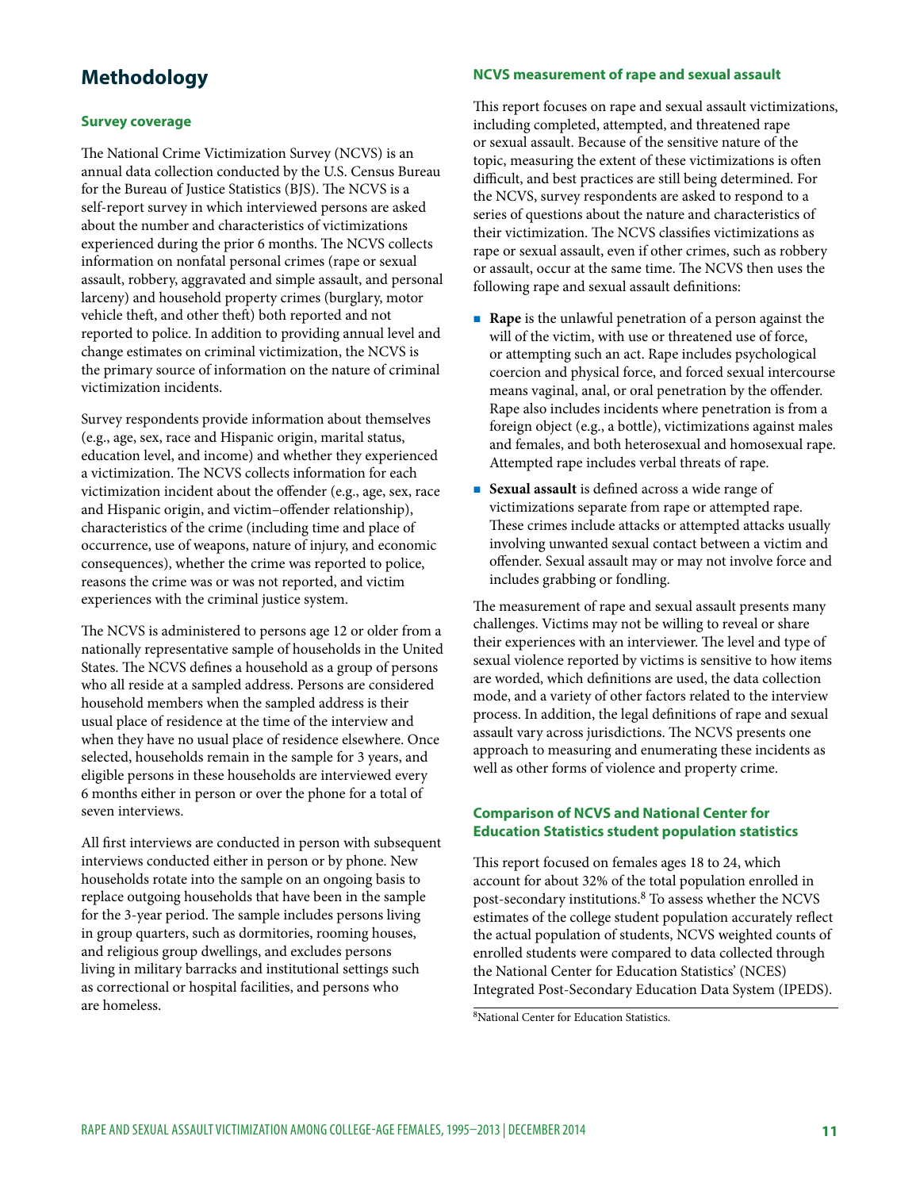# **Methodology**

#### **Survey coverage**

The National Crime Victimization Survey (NCVS) is an annual data collection conducted by the U.S. Census Bureau for the Bureau of Justice Statistics (BJS). The NCVS is a self-report survey in which interviewed persons are asked about the number and characteristics of victimizations experienced during the prior 6 months. The NCVS collects information on nonfatal personal crimes (rape or sexual assault, robbery, aggravated and simple assault, and personal larceny) and household property crimes (burglary, motor vehicle theft, and other theft) both reported and not reported to police. In addition to providing annual level and change estimates on criminal victimization, the NCVS is the primary source of information on the nature of criminal victimization incidents.

Survey respondents provide information about themselves (e.g., age, sex, race and Hispanic origin, marital status, education level, and income) and whether they experienced a victimization. The NCVS collects information for each victimization incident about the offender (e.g., age, sex, race and Hispanic origin, and victim–offender relationship), characteristics of the crime (including time and place of occurrence, use of weapons, nature of injury, and economic consequences), whether the crime was reported to police, reasons the crime was or was not reported, and victim experiences with the criminal justice system.

The NCVS is administered to persons age 12 or older from a nationally representative sample of households in the United States. The NCVS defines a household as a group of persons who all reside at a sampled address. Persons are considered household members when the sampled address is their usual place of residence at the time of the interview and when they have no usual place of residence elsewhere. Once selected, households remain in the sample for 3 years, and eligible persons in these households are interviewed every 6 months either in person or over the phone for a total of seven interviews.

All first interviews are conducted in person with subsequent interviews conducted either in person or by phone. New households rotate into the sample on an ongoing basis to replace outgoing households that have been in the sample for the 3-year period. The sample includes persons living in group quarters, such as dormitories, rooming houses, and religious group dwellings, and excludes persons living in military barracks and institutional settings such as correctional or hospital facilities, and persons who are homeless.

#### **NCVS measurement of rape and sexual assault**

This report focuses on rape and sexual assault victimizations, including completed, attempted, and threatened rape or sexual assault. Because of the sensitive nature of the topic, measuring the extent of these victimizations is often difficult, and best practices are still being determined. For the NCVS, survey respondents are asked to respond to a series of questions about the nature and characteristics of their victimization. The NCVS classifies victimizations as rape or sexual assault, even if other crimes, such as robbery or assault, occur at the same time. The NCVS then uses the following rape and sexual assault definitions:

- **Rape** is the unlawful penetration of a person against the will of the victim, with use or threatened use of force, or attempting such an act. Rape includes psychological coercion and physical force, and forced sexual intercourse means vaginal, anal, or oral penetration by the offender. Rape also includes incidents where penetration is from a foreign object (e.g., a bottle), victimizations against males and females, and both heterosexual and homosexual rape. Attempted rape includes verbal threats of rape.
- **Sexual assault** is defined across a wide range of victimizations separate from rape or attempted rape. These crimes include attacks or attempted attacks usually involving unwanted sexual contact between a victim and offender. Sexual assault may or may not involve force and includes grabbing or fondling.

The measurement of rape and sexual assault presents many challenges. Victims may not be willing to reveal or share their experiences with an interviewer. The level and type of sexual violence reported by victims is sensitive to how items are worded, which definitions are used, the data collection mode, and a variety of other factors related to the interview process. In addition, the legal definitions of rape and sexual assault vary across jurisdictions. The NCVS presents one approach to measuring and enumerating these incidents as well as other forms of violence and property crime.

# **Comparison of NCVS and National Center for Education Statistics student population statistics**

This report focused on females ages 18 to 24, which account for about 32% of the total population enrolled in post-secondary institutions.8 To assess whether the NCVS estimates of the college student population accurately reflect the actual population of students, NCVS weighted counts of enrolled students were compared to data collected through the National Center for Education Statistics' (NCES) Integrated Post-Secondary Education Data System (IPEDS).

8National Center for Education Statistics.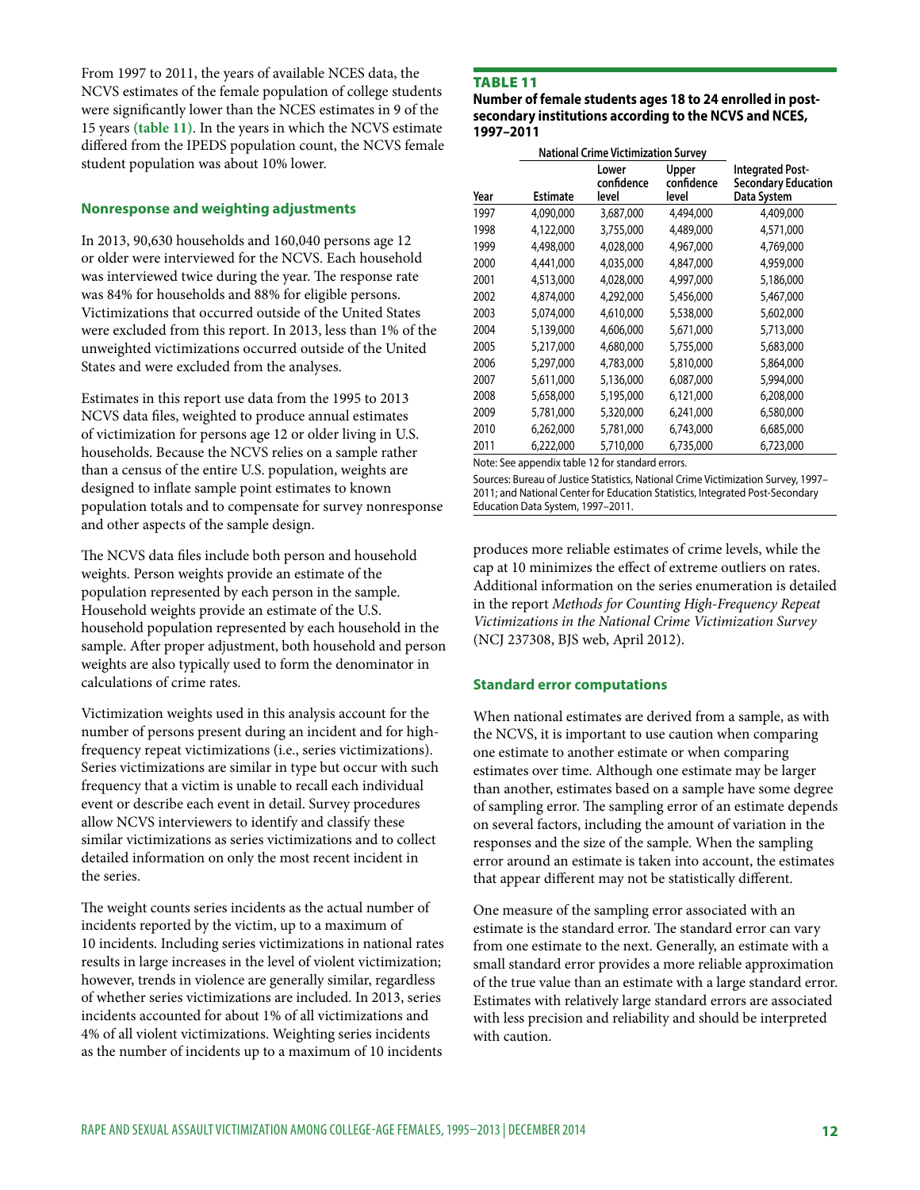From 1997 to 2011, the years of available NCES data, the NCVS estimates of the female population of college students were significantly lower than the NCES estimates in 9 of the 15 years **(table 11)**. In the years in which the NCVS estimate differed from the IPEDS population count, the NCVS female student population was about 10% lower.

#### **Nonresponse and weighting adjustments**

In 2013, 90,630 households and 160,040 persons age 12 or older were interviewed for the NCVS. Each household was interviewed twice during the year. The response rate was 84% for households and 88% for eligible persons. Victimizations that occurred outside of the United States were excluded from this report. In 2013, less than 1% of the unweighted victimizations occurred outside of the United States and were excluded from the analyses.

Estimates in this report use data from the 1995 to 2013 NCVS data files, weighted to produce annual estimates of victimization for persons age 12 or older living in U.S. households. Because the NCVS relies on a sample rather than a census of the entire U.S. population, weights are designed to inflate sample point estimates to known population totals and to compensate for survey nonresponse and other aspects of the sample design.

The NCVS data files include both person and household weights. Person weights provide an estimate of the population represented by each person in the sample. Household weights provide an estimate of the U.S. household population represented by each household in the sample. After proper adjustment, both household and person weights are also typically used to form the denominator in calculations of crime rates.

Victimization weights used in this analysis account for the number of persons present during an incident and for highfrequency repeat victimizations (i.e., series victimizations). Series victimizations are similar in type but occur with such frequency that a victim is unable to recall each individual event or describe each event in detail. Survey procedures allow NCVS interviewers to identify and classify these similar victimizations as series victimizations and to collect detailed information on only the most recent incident in the series.

The weight counts series incidents as the actual number of incidents reported by the victim, up to a maximum of 10 incidents. Including series victimizations in national rates results in large increases in the level of violent victimization; however, trends in violence are generally similar, regardless of whether series victimizations are included. In 2013, series incidents accounted for about 1% of all victimizations and 4% of all violent victimizations. Weighting series incidents as the number of incidents up to a maximum of 10 incidents

# Table 11

**Number of female students ages 18 to 24 enrolled in postsecondary institutions according to the NCVS and NCES, 1997–2011**

|      | <b>National Crime Victimization Survey</b> |                              |                              |                                                                      |
|------|--------------------------------------------|------------------------------|------------------------------|----------------------------------------------------------------------|
| Year | <b>Estimate</b>                            | Lower<br>confidence<br>level | Upper<br>confidence<br>level | <b>Integrated Post-</b><br><b>Secondary Education</b><br>Data System |
| 1997 | 4,090,000                                  | 3,687,000                    | 4,494,000                    | 4,409,000                                                            |
| 1998 | 4,122,000                                  | 3,755,000                    | 4,489,000                    | 4,571,000                                                            |
| 1999 | 4,498,000                                  | 4,028,000                    | 4,967,000                    | 4,769,000                                                            |
| 2000 | 4,441,000                                  | 4,035,000                    | 4,847,000                    | 4,959,000                                                            |
| 2001 | 4,513,000                                  | 4,028,000                    | 4,997,000                    | 5,186,000                                                            |
| 2002 | 4,874,000                                  | 4,292,000                    | 5,456,000                    | 5,467,000                                                            |
| 2003 | 5,074,000                                  | 4,610,000                    | 5,538,000                    | 5,602,000                                                            |
| 2004 | 5,139,000                                  | 4,606,000                    | 5,671,000                    | 5,713,000                                                            |
| 2005 | 5,217,000                                  | 4,680,000                    | 5,755,000                    | 5,683,000                                                            |
| 2006 | 5,297,000                                  | 4,783,000                    | 5,810,000                    | 5,864,000                                                            |
| 2007 | 5,611,000                                  | 5,136,000                    | 6,087,000                    | 5,994,000                                                            |
| 2008 | 5,658,000                                  | 5,195,000                    | 6,121,000                    | 6,208,000                                                            |
| 2009 | 5,781,000                                  | 5,320,000                    | 6,241,000                    | 6,580,000                                                            |
| 2010 | 6,262,000                                  | 5,781,000                    | 6,743,000                    | 6,685,000                                                            |
| 2011 | 6,222,000                                  | 5,710,000                    | 6,735,000                    | 6,723,000                                                            |

Note: See appendix table 12 for standard errors.

Sources: Bureau of Justice Statistics, National Crime Victimization Survey, 1997– 2011; and National Center for Education Statistics, Integrated Post-Secondary Education Data System, 1997–2011.

produces more reliable estimates of crime levels, while the cap at 10 minimizes the effect of extreme outliers on rates. Additional information on the series enumeration is detailed in the report *Methods for Counting High-Frequency Repeat Victimizations in the National Crime Victimization Survey* (NCJ 237308, BJS web, April 2012).

# **Standard error computations**

When national estimates are derived from a sample, as with the NCVS, it is important to use caution when comparing one estimate to another estimate or when comparing estimates over time. Although one estimate may be larger than another, estimates based on a sample have some degree of sampling error. The sampling error of an estimate depends on several factors, including the amount of variation in the responses and the size of the sample. When the sampling error around an estimate is taken into account, the estimates that appear different may not be statistically different.

One measure of the sampling error associated with an estimate is the standard error. The standard error can vary from one estimate to the next. Generally, an estimate with a small standard error provides a more reliable approximation of the true value than an estimate with a large standard error. Estimates with relatively large standard errors are associated with less precision and reliability and should be interpreted with caution.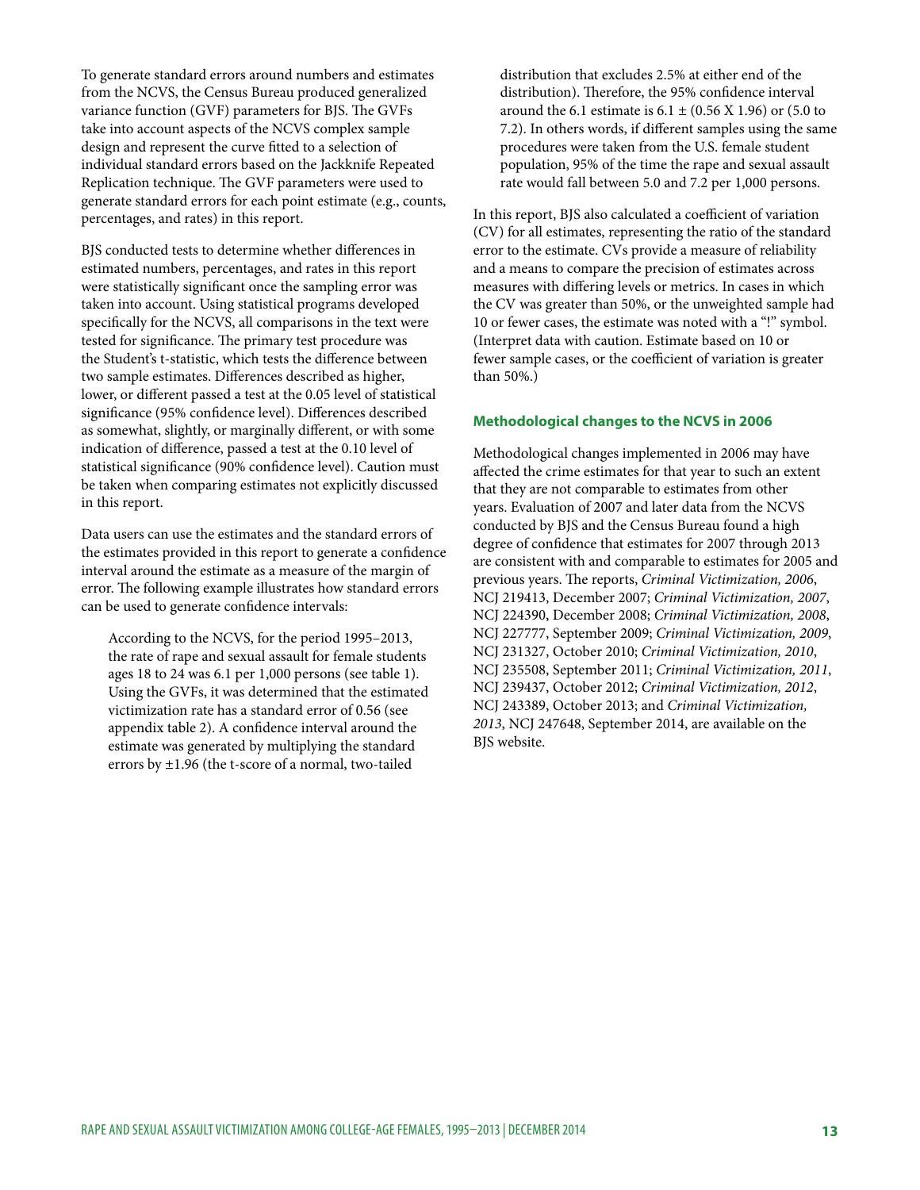To generate standard errors around numbers and estimates from the NCVS, the Census Bureau produced generalized variance function (GVF) parameters for BJS. The GVFs take into account aspects of the NCVS complex sample design and represent the curve fitted to a selection of individual standard errors based on the Jackknife Repeated Replication technique. The GVF parameters were used to generate standard errors for each point estimate (e.g., counts, percentages, and rates) in this report.

BJS conducted tests to determine whether differences in estimated numbers, percentages, and rates in this report were statistically significant once the sampling error was taken into account. Using statistical programs developed specifically for the NCVS, all comparisons in the text were tested for significance. The primary test procedure was the Student's t-statistic, which tests the difference between two sample estimates. Differences described as higher, lower, or different passed a test at the 0.05 level of statistical significance (95% confidence level). Differences described as somewhat, slightly, or marginally different, or with some indication of difference, passed a test at the 0.10 level of statistical significance (90% confidence level). Caution must be taken when comparing estimates not explicitly discussed in this report.

Data users can use the estimates and the standard errors of the estimates provided in this report to generate a confidence interval around the estimate as a measure of the margin of error. The following example illustrates how standard errors can be used to generate confidence intervals:

According to the NCVS, for the period 1995–2013, the rate of rape and sexual assault for female students ages 18 to 24 was 6.1 per 1,000 persons (see table 1). Using the GVFs, it was determined that the estimated victimization rate has a standard error of 0.56 (see appendix table 2). A confidence interval around the estimate was generated by multiplying the standard errors by ±1.96 (the t-score of a normal, two-tailed

distribution that excludes 2.5% at either end of the distribution). Therefore, the 95% confidence interval around the 6.1 estimate is  $6.1 \pm (0.56 \text{ X } 1.96)$  or  $(5.0 \text{ to } 1.96)$ 7.2). In others words, if different samples using the same procedures were taken from the U.S. female student population, 95% of the time the rape and sexual assault rate would fall between 5.0 and 7.2 per 1,000 persons.

In this report, BJS also calculated a coefficient of variation (CV) for all estimates, representing the ratio of the standard error to the estimate. CVs provide a measure of reliability and a means to compare the precision of estimates across measures with differing levels or metrics. In cases in which the CV was greater than 50%, or the unweighted sample had 10 or fewer cases, the estimate was noted with a "!" symbol. (Interpret data with caution. Estimate based on 10 or fewer sample cases, or the coefficient of variation is greater than 50%.)

#### **Methodological changes to the NCVS in 2006**

Methodological changes implemented in 2006 may have affected the crime estimates for that year to such an extent that they are not comparable to estimates from other years. Evaluation of 2007 and later data from the NCVS conducted by BJS and the Census Bureau found a high degree of confidence that estimates for 2007 through 2013 are consistent with and comparable to estimates for 2005 and previous years. The reports, *Criminal Victimization, 2006*, NCJ 219413, December 2007; *Criminal Victimization, 2007*, NCJ 224390, December 2008; *Criminal Victimization, 2008*, NCJ 227777, September 2009; *Criminal Victimization, 2009*, NCJ 231327, October 2010; *Criminal Victimization, 2010*, NCJ 235508, September 2011; *Criminal Victimization, 2011*, NCJ 239437, October 2012; *Criminal Victimization, 2012*, NCJ 243389, October 2013; and *Criminal Victimization, 2013*, NCJ 247648, September 2014, are available on the BIS website.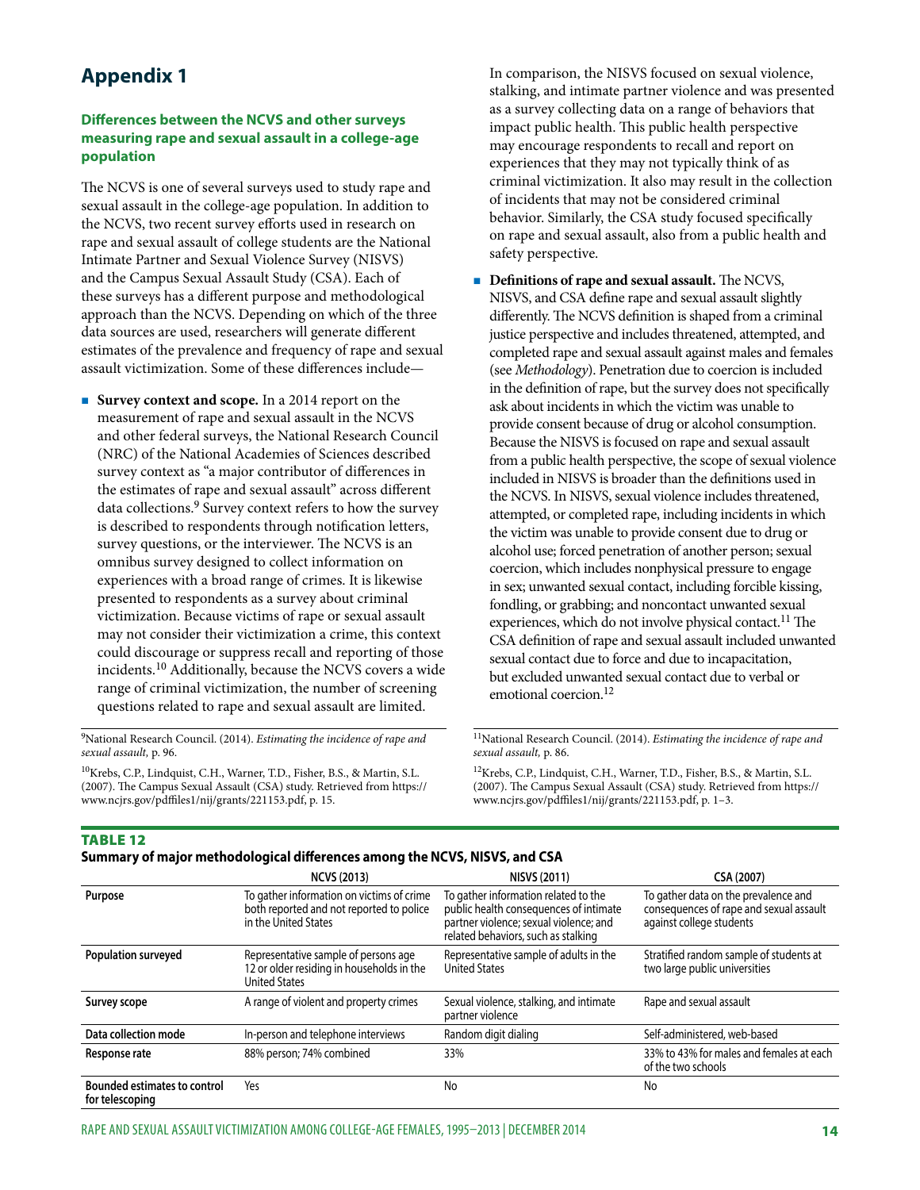# **Appendix 1**

# **Differences between the NCVS and other surveys measuring rape and sexual assault in a college-age population**

The NCVS is one of several surveys used to study rape and sexual assault in the college-age population. In addition to the NCVS, two recent survey efforts used in research on rape and sexual assault of college students are the National Intimate Partner and Sexual Violence Survey (NISVS) and the Campus Sexual Assault Study (CSA). Each of these surveys has a different purpose and methodological approach than the NCVS. Depending on which of the three data sources are used, researchers will generate different estimates of the prevalence and frequency of rape and sexual assault victimization. Some of these differences include—

**Survey context and scope.** In a 2014 report on the measurement of rape and sexual assault in the NCVS and other federal surveys, the National Research Council (NRC) of the National Academies of Sciences described survey context as "a major contributor of differences in the estimates of rape and sexual assault" across different data collections.<sup>9</sup> Survey context refers to how the survey is described to respondents through notification letters, survey questions, or the interviewer. The NCVS is an omnibus survey designed to collect information on experiences with a broad range of crimes. It is likewise presented to respondents as a survey about criminal victimization. Because victims of rape or sexual assault may not consider their victimization a crime, this context could discourage or suppress recall and reporting of those incidents.10 Additionally, because the NCVS covers a wide range of criminal victimization, the number of screening questions related to rape and sexual assault are limited.

9National Research Council. (2014). *Estimating the incidence of rape and sexual assault,* p. 96.

10Krebs, C.P., Lindquist, C.H., Warner, T.D., Fisher, B.S., & Martin, S.L. (2007). The Campus Sexual Assault (CSA) study. Retrieved from https:// www.ncjrs.gov/pdffiles1/nij/grants/221153.pdf, p. 15.

In comparison, the NISVS focused on sexual violence, stalking, and intimate partner violence and was presented as a survey collecting data on a range of behaviors that impact public health. This public health perspective may encourage respondents to recall and report on experiences that they may not typically think of as criminal victimization. It also may result in the collection of incidents that may not be considered criminal behavior. Similarly, the CSA study focused specifically on rape and sexual assault, also from a public health and safety perspective.

 **Definitions of rape and sexual assault.** The NCVS, NISVS, and CSA define rape and sexual assault slightly differently. The NCVS definition is shaped from a criminal justice perspective and includes threatened, attempted, and completed rape and sexual assault against males and females (see *Methodology*). Penetration due to coercion is included in the definition of rape, but the survey does not specifically ask about incidents in which the victim was unable to provide consent because of drug or alcohol consumption. Because the NISVS is focused on rape and sexual assault from a public health perspective, the scope of sexual violence included in NISVS is broader than the definitions used in the NCVS. In NISVS, sexual violence includes threatened, attempted, or completed rape, including incidents in which the victim was unable to provide consent due to drug or alcohol use; forced penetration of another person; sexual coercion, which includes nonphysical pressure to engage in sex; unwanted sexual contact, including forcible kissing, fondling, or grabbing; and noncontact unwanted sexual experiences, which do not involve physical contact.<sup>11</sup> The CSA definition of rape and sexual assault included unwanted sexual contact due to force and due to incapacitation, but excluded unwanted sexual contact due to verbal or emotional coercion.<sup>12</sup>

11National Research Council. (2014). *Estimating the incidence of rape and sexual assault,* p. 86.

12Krebs, C.P., Lindquist, C.H., Warner, T.D., Fisher, B.S., & Martin, S.L. (2007). The Campus Sexual Assault (CSA) study. Retrieved from https:// www.ncjrs.gov/pdffiles1/nij/grants/221153.pdf, p. 1–3.

| Summary of major methodological differences among the NCVS, NISVS, and CSA |
|----------------------------------------------------------------------------|
|----------------------------------------------------------------------------|

|                                                        | <b>NCVS (2013)</b>                                                                                            | <b>NISVS (2011)</b>                                                                                                                                             | CSA (2007)                                                                                                  |
|--------------------------------------------------------|---------------------------------------------------------------------------------------------------------------|-----------------------------------------------------------------------------------------------------------------------------------------------------------------|-------------------------------------------------------------------------------------------------------------|
| Purpose                                                | To gather information on victims of crime<br>both reported and not reported to police<br>in the United States | To gather information related to the<br>public health consequences of intimate<br>partner violence; sexual violence; and<br>related behaviors, such as stalking | To gather data on the prevalence and<br>consequences of rape and sexual assault<br>against college students |
| <b>Population surveyed</b>                             | Representative sample of persons age<br>12 or older residing in households in the<br><b>United States</b>     | Representative sample of adults in the<br><b>United States</b>                                                                                                  | Stratified random sample of students at<br>two large public universities                                    |
| Survey scope                                           | A range of violent and property crimes                                                                        | Sexual violence, stalking, and intimate<br>partner violence                                                                                                     | Rape and sexual assault                                                                                     |
| Data collection mode                                   | In-person and telephone interviews                                                                            | Random digit dialing                                                                                                                                            | Self-administered, web-based                                                                                |
| Response rate                                          | 88% person; 74% combined                                                                                      | 33%                                                                                                                                                             | 33% to 43% for males and females at each<br>of the two schools                                              |
| <b>Bounded estimates to control</b><br>for telescoping | Yes                                                                                                           | No                                                                                                                                                              | No                                                                                                          |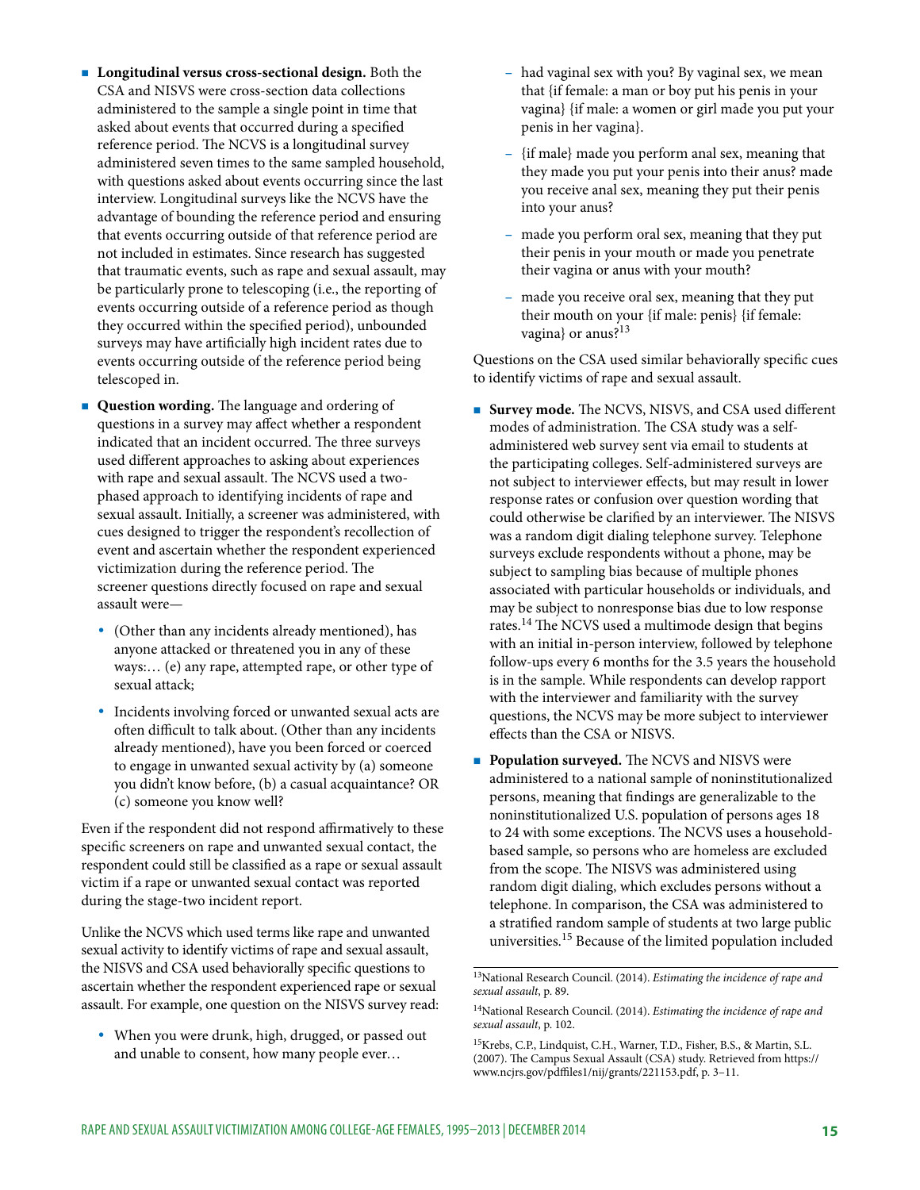- **Longitudinal versus cross-sectional design.** Both the CSA and NISVS were cross-section data collections administered to the sample a single point in time that asked about events that occurred during a specified reference period. The NCVS is a longitudinal survey administered seven times to the same sampled household, with questions asked about events occurring since the last interview. Longitudinal surveys like the NCVS have the advantage of bounding the reference period and ensuring that events occurring outside of that reference period are not included in estimates. Since research has suggested that traumatic events, such as rape and sexual assault, may be particularly prone to telescoping (i.e., the reporting of events occurring outside of a reference period as though they occurred within the specified period), unbounded surveys may have artificially high incident rates due to events occurring outside of the reference period being telescoped in.
- **Question wording.** The language and ordering of questions in a survey may affect whether a respondent indicated that an incident occurred. The three surveys used different approaches to asking about experiences with rape and sexual assault. The NCVS used a twophased approach to identifying incidents of rape and sexual assault. Initially, a screener was administered, with cues designed to trigger the respondent's recollection of event and ascertain whether the respondent experienced victimization during the reference period. The screener questions directly focused on rape and sexual assault were—
	- (Other than any incidents already mentioned), has anyone attacked or threatened you in any of these ways:… (e) any rape, attempted rape, or other type of sexual attack;
	- Incidents involving forced or unwanted sexual acts are often difficult to talk about. (Other than any incidents already mentioned), have you been forced or coerced to engage in unwanted sexual activity by (a) someone you didn't know before, (b) a casual acquaintance? OR (c) someone you know well?

Even if the respondent did not respond affirmatively to these specific screeners on rape and unwanted sexual contact, the respondent could still be classified as a rape or sexual assault victim if a rape or unwanted sexual contact was reported during the stage-two incident report.

Unlike the NCVS which used terms like rape and unwanted sexual activity to identify victims of rape and sexual assault, the NISVS and CSA used behaviorally specific questions to ascertain whether the respondent experienced rape or sexual assault. For example, one question on the NISVS survey read:

• When you were drunk, high, drugged, or passed out and unable to consent, how many people ever…

- **–** had vaginal sex with you? By vaginal sex, we mean that {if female: a man or boy put his penis in your vagina} {if male: a women or girl made you put your penis in her vagina}.
- **–** {if male} made you perform anal sex, meaning that they made you put your penis into their anus? made you receive anal sex, meaning they put their penis into your anus?
- **–** made you perform oral sex, meaning that they put their penis in your mouth or made you penetrate their vagina or anus with your mouth?
- **–** made you receive oral sex, meaning that they put their mouth on your {if male: penis} {if female: vagina} or anus?<sup>13</sup>

Questions on the CSA used similar behaviorally specific cues to identify victims of rape and sexual assault.

- **Survey mode.** The NCVS, NISVS, and CSA used different modes of administration. The CSA study was a selfadministered web survey sent via email to students at the participating colleges. Self-administered surveys are not subject to interviewer effects, but may result in lower response rates or confusion over question wording that could otherwise be clarified by an interviewer. The NISVS was a random digit dialing telephone survey. Telephone surveys exclude respondents without a phone, may be subject to sampling bias because of multiple phones associated with particular households or individuals, and may be subject to nonresponse bias due to low response rates.<sup>14</sup> The NCVS used a multimode design that begins with an initial in-person interview, followed by telephone follow-ups every 6 months for the 3.5 years the household is in the sample. While respondents can develop rapport with the interviewer and familiarity with the survey questions, the NCVS may be more subject to interviewer effects than the CSA or NISVS.
- **Population surveyed.** The NCVS and NISVS were administered to a national sample of noninstitutionalized persons, meaning that findings are generalizable to the noninstitutionalized U.S. population of persons ages 18 to 24 with some exceptions. The NCVS uses a householdbased sample, so persons who are homeless are excluded from the scope. The NISVS was administered using random digit dialing, which excludes persons without a telephone. In comparison, the CSA was administered to a stratified random sample of students at two large public universities.15 Because of the limited population included

13National Research Council. (2014). *Estimating the incidence of rape and sexual assault*, p. 89.

<sup>14</sup>National Research Council. (2014). *Estimating the incidence of rape and sexual assault*, p. 102.

<sup>15</sup>Krebs, C.P., Lindquist, C.H., Warner, T.D., Fisher, B.S., & Martin, S.L. (2007). The Campus Sexual Assault (CSA) study. Retrieved from [https://](https://www.ncjrs.gov/pdffiles1/nij/grants/221153.pdf) [www.ncjrs.gov/pdffiles1/nij/grants/221153.pdf](https://www.ncjrs.gov/pdffiles1/nij/grants/221153.pdf), p. 3–11.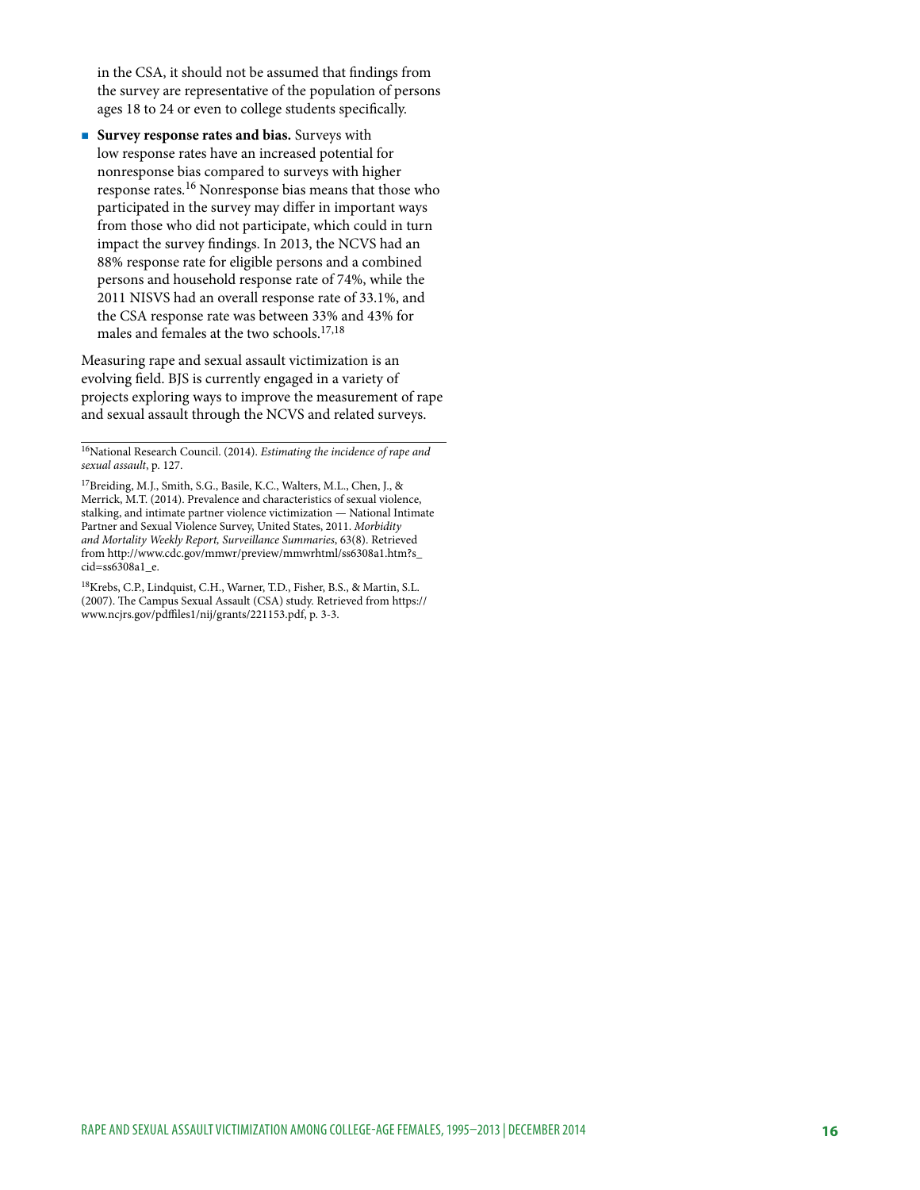in the CSA, it should not be assumed that findings from the survey are representative of the population of persons ages 18 to 24 or even to college students specifically.

**Survey response rates and bias.** Surveys with low response rates have an increased potential for nonresponse bias compared to surveys with higher response rates.16 Nonresponse bias means that those who participated in the survey may differ in important ways from those who did not participate, which could in turn impact the survey findings. In 2013, the NCVS had an 88% response rate for eligible persons and a combined persons and household response rate of 74%, while the 2011 NISVS had an overall response rate of 33.1%, and the CSA response rate was between 33% and 43% for males and females at the two schools.17,18

Measuring rape and sexual assault victimization is an evolving field. BJS is currently engaged in a variety of projects exploring ways to improve the measurement of rape and sexual assault through the NCVS and related surveys.

18Krebs, C.P., Lindquist, C.H., Warner, T.D., Fisher, B.S., & Martin, S.L. (2007). The Campus Sexual Assault (CSA) study. Retrieved from [https://](https://www.ncjrs.gov/pdffiles1/nij/grants/221153.pdf) [www.ncjrs.gov/pdffiles1/nij/grants/221153.pdf](https://www.ncjrs.gov/pdffiles1/nij/grants/221153.pdf), p. 3-3.

<sup>16</sup>National Research Council. (2014). *Estimating the incidence of rape and sexual assault*, p. 127.

<sup>17</sup>Breiding, M.J., Smith, S.G., Basile, K.C., Walters, M.L., Chen, J., & Merrick, M.T. (2014). Prevalence and characteristics of sexual violence, stalking, and intimate partner violence victimization — National Intimate Partner and Sexual Violence Survey, United States, 2011. *Morbidity and Mortality Weekly Report, Surveillance Summaries*, 63(8). Retrieved from [http://www.cdc.gov/mmwr/preview/mmwrhtml/ss6308a1.htm?s\\_](http://www.cdc.gov/mmwr/preview/mmwrhtml/ss6308a1.htm?s_cid=ss6308a1_e) [cid=ss6308a1\\_e](http://www.cdc.gov/mmwr/preview/mmwrhtml/ss6308a1.htm?s_cid=ss6308a1_e).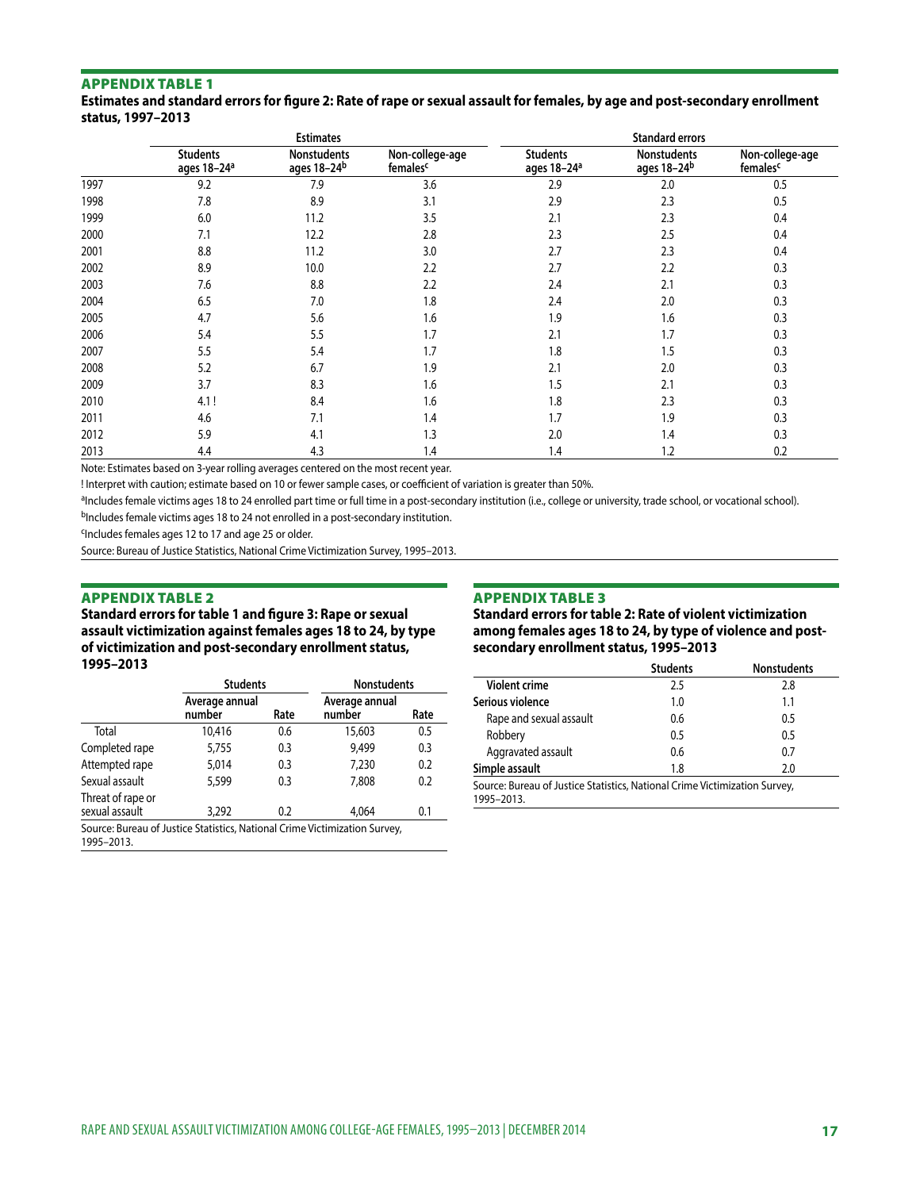#### Appendix table 1

**Estimates and standard errors for figure 2: Rate of rape or sexual assault for females, by age and post-secondary enrollment status, 1997–2013**

|      | <b>Estimates</b>                           |                                               |                                         | <b>Standard errors</b>            |                                               |                                         |
|------|--------------------------------------------|-----------------------------------------------|-----------------------------------------|-----------------------------------|-----------------------------------------------|-----------------------------------------|
|      | <b>Students</b><br>ages 18-24 <sup>a</sup> | <b>Nonstudents</b><br>ages 18-24 <sup>b</sup> | Non-college-age<br>females <sup>c</sup> | <b>Students</b><br>ages $18-24^a$ | <b>Nonstudents</b><br>ages 18-24 <sup>b</sup> | Non-college-age<br>females <sup>c</sup> |
| 1997 | 9.2                                        | 7.9                                           | 3.6                                     | 2.9                               | 2.0                                           | 0.5                                     |
| 1998 | 7.8                                        | 8.9                                           | 3.1                                     | 2.9                               | 2.3                                           | 0.5                                     |
| 1999 | 6.0                                        | 11.2                                          | 3.5                                     | 2.1                               | 2.3                                           | 0.4                                     |
| 2000 | 7.1                                        | 12.2                                          | 2.8                                     | 2.3                               | 2.5                                           | 0.4                                     |
| 2001 | 8.8                                        | 11.2                                          | 3.0                                     | 2.7                               | 2.3                                           | 0.4                                     |
| 2002 | 8.9                                        | 10.0                                          | 2.2                                     | 2.7                               | 2.2                                           | 0.3                                     |
| 2003 | 7.6                                        | 8.8                                           | 2.2                                     | 2.4                               | 2.1                                           | 0.3                                     |
| 2004 | 6.5                                        | 7.0                                           | 1.8                                     | 2.4                               | 2.0                                           | 0.3                                     |
| 2005 | 4.7                                        | 5.6                                           | 1.6                                     | 1.9                               | 1.6                                           | 0.3                                     |
| 2006 | 5.4                                        | 5.5                                           | 1.7                                     | 2.1                               | 1.7                                           | 0.3                                     |
| 2007 | 5.5                                        | 5.4                                           | 1.7                                     | 1.8                               | 1.5                                           | 0.3                                     |
| 2008 | 5.2                                        | 6.7                                           | 1.9                                     | 2.1                               | 2.0                                           | 0.3                                     |
| 2009 | 3.7                                        | 8.3                                           | 1.6                                     | 1.5                               | 2.1                                           | 0.3                                     |
| 2010 | 4.1!                                       | 8.4                                           | 1.6                                     | 1.8                               | 2.3                                           | 0.3                                     |
| 2011 | 4.6                                        | 7.1                                           | 1.4                                     | 1.7                               | 1.9                                           | 0.3                                     |
| 2012 | 5.9                                        | 4.1                                           | 1.3                                     | 2.0                               | 1.4                                           | 0.3                                     |
| 2013 | 4.4                                        | 4.3                                           | 1.4                                     | 1.4                               | 1.2                                           | 0.2                                     |

Note: Estimates based on 3-year rolling averages centered on the most recent year.

! Interpret with caution; estimate based on 10 or fewer sample cases, or coefficient of variation is greater than 50%.

aIncludes female victims ages 18 to 24 enrolled part time or full time in a post-secondary institution (i.e., college or university, trade school, or vocational school). bIncludes female victims ages 18 to 24 not enrolled in a post-secondary institution.

<sup>c</sup>Includes females ages 12 to 17 and age 25 or older.

Source: Bureau of Justice Statistics, National Crime Victimization Survey, 1995–2013.

#### Appendix table 2

**Standard errors for table 1 and figure 3: Rape or sexual assault victimization against females ages 18 to 24, by type of victimization and post-secondary enrollment status, 1995–** 

| 1995-2013                           |                          |                    |                          |      |
|-------------------------------------|--------------------------|--------------------|--------------------------|------|
| <b>Students</b>                     |                          | <b>Nonstudents</b> |                          |      |
|                                     | Average annual<br>number | Rate               | Average annual<br>number | Rate |
| Total                               | 10,416                   | 0.6                | 15,603                   | 0.5  |
| Completed rape                      | 5,755                    | 0.3                | 9,499                    | 0.3  |
| Attempted rape                      | 5,014                    | 0.3                | 7,230                    | 0.2  |
| Sexual assault                      | 5,599                    | 0.3                | 7,808                    | 0.2  |
| Threat of rape or<br>sexual assault | 3,292                    | 0.2                | 4.064                    | 0.1  |

Source: Bureau of Justice Statistics, National Crime Victimization Survey,

1995–2013.

#### Appendix table 3

**Standard errors for table 2: Rate of violent victimization among females ages 18 to 24, by type of violence and postsecondary enrollment status, 1995–2013**

|                                                                            | <b>Students</b> | <b>Nonstudents</b> |
|----------------------------------------------------------------------------|-----------------|--------------------|
| <b>Violent crime</b>                                                       | 2.5             | 2.8                |
| Serious violence                                                           | 1.0             | 1.1                |
| Rape and sexual assault                                                    | 0.6             | 0.5                |
| Robbery                                                                    | 0.5             | 0.5                |
| Aggravated assault                                                         | 0.6             | 0.7                |
| Simple assault                                                             | 1.8             | 2.0                |
| Source: Bureau of Justice Statistics, National Crime Victimization Survey, |                 |                    |

1995–2013.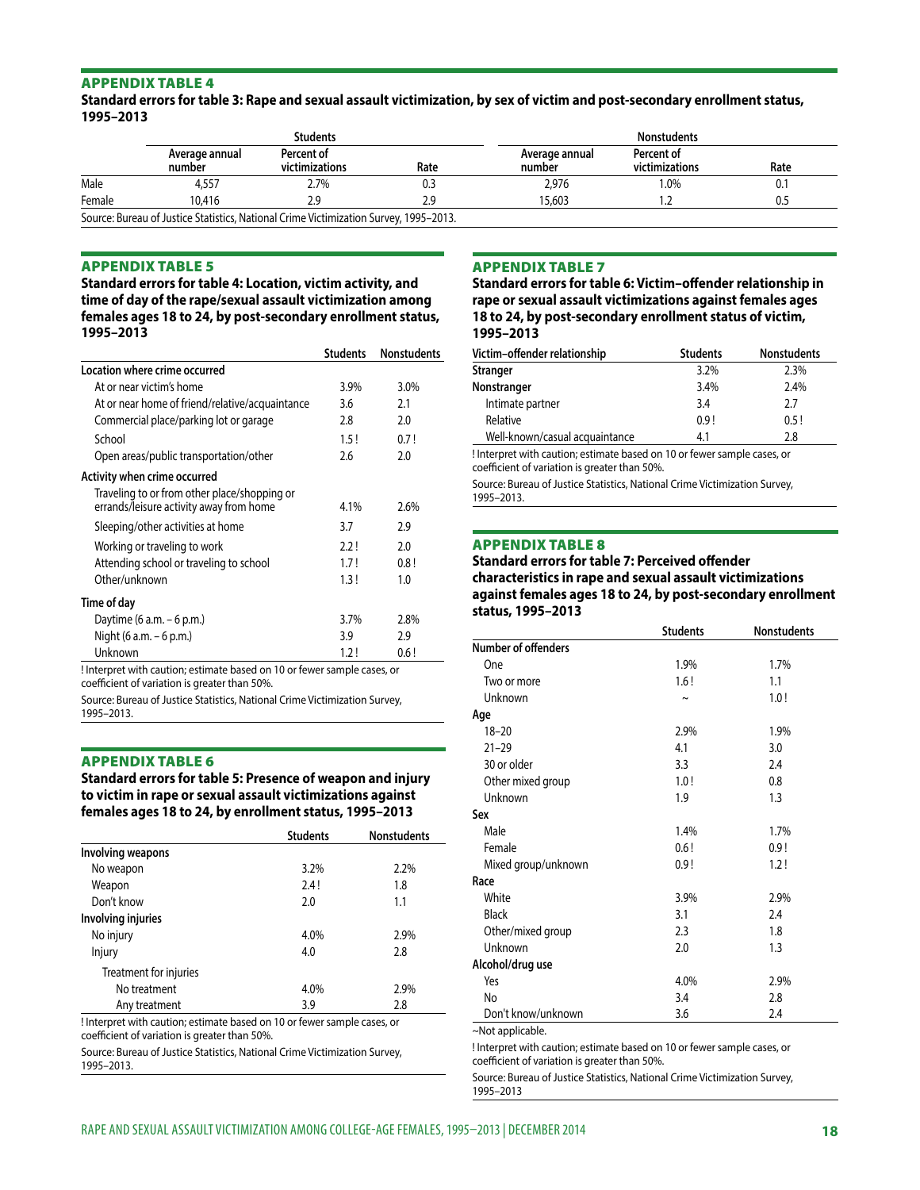#### Appendix table 4

**Standard errors for table 3: Rape and sexual assault victimization, by sex of victim and post-secondary enrollment status, 1995–2013**

|        |                          | <b>Students</b>                                                                       |      | <b>Nonstudents</b>       |                              |      |
|--------|--------------------------|---------------------------------------------------------------------------------------|------|--------------------------|------------------------------|------|
|        | Average annual<br>number | Percent of<br>victimizations                                                          | Rate | Average annual<br>number | Percent of<br>victimizations | Rate |
| Male   | 4,557                    | 2.7%                                                                                  | 0.3  | 2,976                    | $.0\%$                       | 0.1  |
| Female | 10.416                   | 2.9                                                                                   | 2.9  | 15.603                   |                              | 0.5  |
|        |                          | Source: Bureau of Justice Statistics, National Crime Victimization Survey, 1995–2013. |      |                          |                              |      |

#### Appendix table 5

**Standard errors for table 4: Location, victim activity, and time of day of the rape/sexual assault victimization among females ages 18 to 24, by post-secondary enrollment status, 1995–2013**

|                                                                                         | Students | Nonstudents |
|-----------------------------------------------------------------------------------------|----------|-------------|
| Location where crime occurred                                                           |          |             |
| At or near victim's home                                                                | 3.9%     | 3.0%        |
| At or near home of friend/relative/acquaintance                                         | 3.6      | 2.1         |
| Commercial place/parking lot or garage                                                  | 2.8      | 2.0         |
| School                                                                                  | 1.5!     | 0.7!        |
| Open areas/public transportation/other                                                  | 2.6      | 2.0         |
| Activity when crime occurred                                                            |          |             |
| Traveling to or from other place/shopping or<br>errands/leisure activity away from home | 4.1%     | 2.6%        |
| Sleeping/other activities at home                                                       | 3.7      | 2.9         |
| Working or traveling to work                                                            | 2.2!     | 2.0         |
| Attending school or traveling to school                                                 | 1.7!     | 0.8!        |
| Other/unknown                                                                           | 1.3!     | 1.0         |
| Time of day                                                                             |          |             |
| Daytime (6 a.m. – 6 p.m.)                                                               | 3.7%     | 2.8%        |
| Night (6 a.m. – 6 p.m.)                                                                 | 3.9      | 2.9         |
| Unknown                                                                                 | 1.2!     | 0.6!        |
| Unterpret with caution: estimate based on 10 or fewer sample cases or                   |          |             |

! Interpret with caution; estimate based on 10 or fewer sample cases, or coefficient of variation is greater than 50%.

Source: Bureau of Justice Statistics, National Crime Victimization Survey, 1995–2013.

#### Appendix table 6

## **Standard errors for table 5: Presence of weapon and injury to victim in rape or sexual assault victimizations against females ages 18 to 24, by enrollment status, 1995–2013**

| <b>Students</b> | <b>Nonstudents</b> |
|-----------------|--------------------|
|                 |                    |
| 3.2%            | 2.2%               |
| 2.4!            | 1.8                |
| 2.0             | 1.1                |
|                 |                    |
| 4.0%            | 2.9%               |
| 4.0             | 2.8                |
|                 |                    |
| 4.0%            | 2.9%               |
| 3.9             | 2.8                |
|                 |                    |

! Interpret with caution; estimate based on 10 or fewer sample cases, or coefficient of variation is greater than 50%.

Source: Bureau of Justice Statistics, National Crime Victimization Survey, 1995–2013.

#### Appendix table 7

**Standard errors for table 6: Victim–offender relationship in rape or sexual assault victimizations against females ages 18 to 24, by post-secondary enrollment status of victim, 1995–2013**

| Victim–offender relationship   | <b>Students</b> | <b>Nonstudents</b> |
|--------------------------------|-----------------|--------------------|
| Stranger                       | 3.2%            | 2.3%               |
| Nonstranger                    | 3.4%            | 2.4%               |
| Intimate partner               | 3.4             | 2.7                |
| Relative                       | 0.9!            | 0.5!               |
| Well-known/casual acquaintance | 4.1             | 2.8                |
|                                |                 |                    |

! Interpret with caution; estimate based on 10 or fewer sample cases, or coefficient of variation is greater than 50%.

Source: Bureau of Justice Statistics, National Crime Victimization Survey, 1995–2013.

## Appendix table 8

#### **Standard errors for table 7: Perceived offender characteristics in rape and sexual assault victimizations against females ages 18 to 24, by post-secondary enrollment status, 1995–2013**

|                                   | <b>Students</b> | <b>Nonstudents</b> |
|-----------------------------------|-----------------|--------------------|
| <b>Number of offenders</b>        |                 |                    |
| One                               | 1.9%            | 1.7%               |
| Two or more                       | 1.6!            | 1.1                |
| Unknown                           | $\tilde{}$      | 1.0!               |
| Age                               |                 |                    |
| $18 - 20$                         | 2.9%            | 1.9%               |
| $21 - 29$                         | 4.1             | 3.0                |
| 30 or older                       | 3.3             | 2.4                |
| Other mixed group                 | 1.0!            | 0.8                |
| Unknown                           | 1.9             | 1.3                |
| Sex                               |                 |                    |
| Male                              | 1.4%            | 1.7%               |
| Female                            | 0.6!            | 0.9!               |
| Mixed group/unknown               | 0.9!            | 1.2!               |
| Race                              |                 |                    |
| White                             | 3.9%            | 2.9%               |
| Black                             | 3.1             | 2.4                |
| Other/mixed group                 | 2.3             | 1.8                |
| Unknown                           | 2.0             | 1.3                |
| Alcohol/drug use                  |                 |                    |
| Yes                               | 4.0%            | 2.9%               |
| No                                | 3.4             | 2.8                |
| Don't know/unknown                | 3.6             | 2.4                |
| الملماء ممثلون والمستحدث والمالية |                 |                    |

~Not applicable.

! Interpret with caution; estimate based on 10 or fewer sample cases, or coefficient of variation is greater than 50%.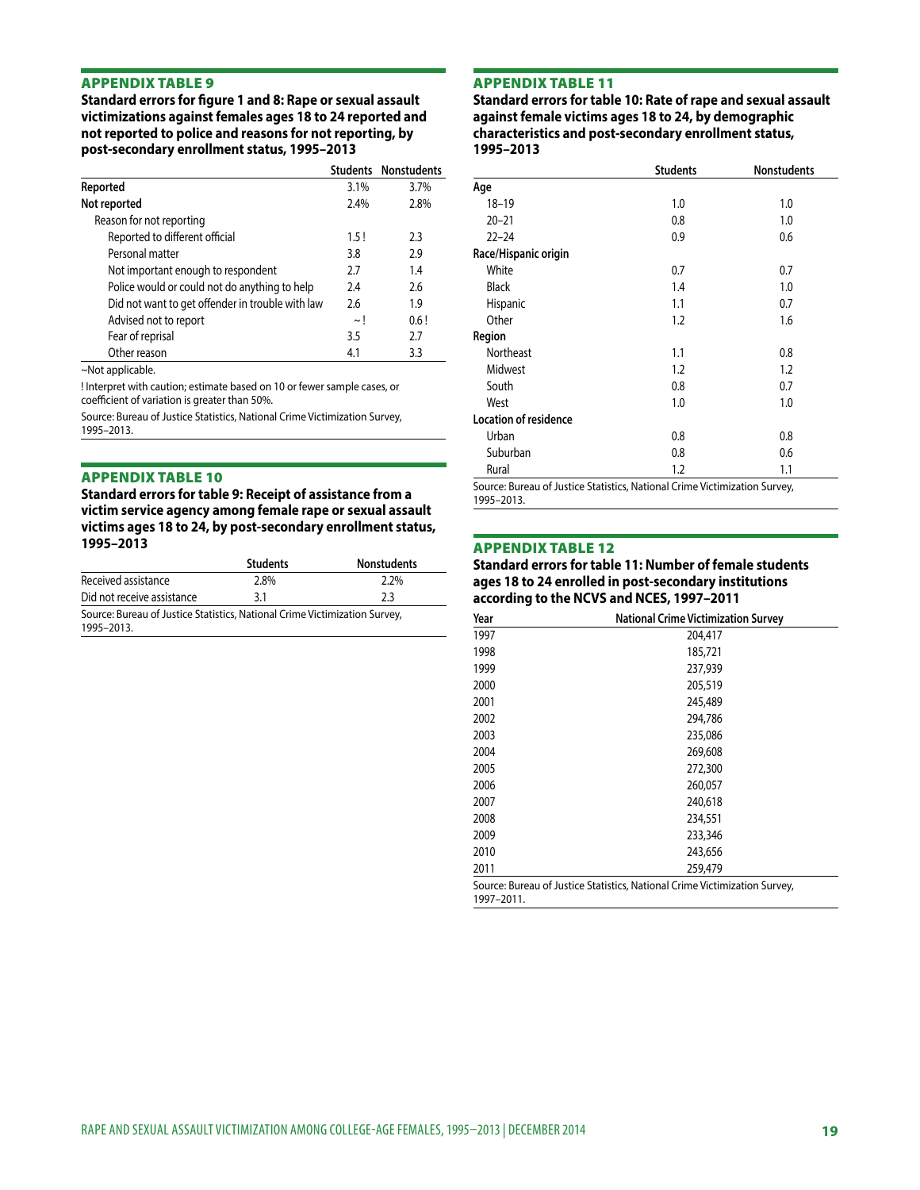#### Appendix table 9

**Standard errors for figure 1 and 8: Rape or sexual assault victimizations against females ages 18 to 24 reported and not reported to police and reasons for not reporting, by post-secondary enrollment status, 1995–2013**

 $\sim$ 

|                                                  | <b>Students</b> | <b>Nonstudents</b> |
|--------------------------------------------------|-----------------|--------------------|
| Reported                                         | 3.1%            | 3.7%               |
| Not reported                                     | 2.4%            | 2.8%               |
| Reason for not reporting                         |                 |                    |
| Reported to different official                   | 1.5!            | 23                 |
| Personal matter                                  | 3.8             | 2.9                |
| Not important enough to respondent               | 2.7             | 1.4                |
| Police would or could not do anything to help    | 7.4             | 2.6                |
| Did not want to get offender in trouble with law | 2.6             | 1.9                |
| Advised not to report                            | $\sim$ !        | 0.6!               |
| Fear of reprisal                                 | 3.5             | 2.7                |
| Other reason                                     | 4.1             | 3.3                |

~Not applicable.

! Interpret with caution; estimate based on 10 or fewer sample cases, or coefficient of variation is greater than 50%.

Source: Bureau of Justice Statistics, National Crime Victimization Survey, 1995–2013.

#### Appendix table 10

**Standard errors for table 9: Receipt of assistance from a victim service agency among female rape or sexual assault victims ages 18 to 24, by post-secondary enrollment status, 1995–2013**

|                                                                        | <b>Students</b> | <b>Nonstudents</b> |
|------------------------------------------------------------------------|-----------------|--------------------|
| Received assistance                                                    | 2.8%            | 2.2%               |
| Did not receive assistance                                             |                 |                    |
| $\epsilon$ and $\epsilon$ is a set of the set of the set of $\epsilon$ |                 |                    |

Source: Bureau of Justice Statistics, National Crime Victimization Survey, 1995–2013.

#### Appendix table 11

**Standard errors for table 10: Rate of rape and sexual assault against female victims ages 18 to 24, by demographic characteristics and post-secondary enrollment status, 1995–2013**

|                                                                           | <b>Students</b> | <b>Nonstudents</b> |
|---------------------------------------------------------------------------|-----------------|--------------------|
| Age                                                                       |                 |                    |
| $18 - 19$                                                                 | 1.0             | 1.0                |
| $20 - 21$                                                                 | 0.8             | 1.0                |
| $22 - 24$                                                                 | 0.9             | 0.6                |
| Race/Hispanic origin                                                      |                 |                    |
| White                                                                     | 0.7             | 0.7                |
| <b>Black</b>                                                              | 1.4             | 1.0                |
| <b>Hispanic</b>                                                           | 1.1             | 0.7                |
| Other                                                                     | 1.2             | 1.6                |
| Region                                                                    |                 |                    |
| Northeast                                                                 | 1.1             | 0.8                |
| Midwest                                                                   | 1.2             | 1.2                |
| South                                                                     | 0.8             | 0.7                |
| West                                                                      | 1.0             | 1.0                |
| <b>Location of residence</b>                                              |                 |                    |
| Urban                                                                     | 0.8             | 0.8                |
| Suburban                                                                  | 0.8             | 0.6                |
| Rural                                                                     | 1.2             | 1.1                |
| Source: Bureau of Justice Statistics, National Crime Victimization Survey |                 |                    |

Source: Bureau of Justice Statistics, National Crime Victimization Survey, 1995–2013.

#### Appendix table 12

#### **Standard errors for table 11: Number of female students ages 18 to 24 enrolled in post-secondary institutions according to the NCVS and NCES, 1997–2011**

| Year       | <b>National Crime Victimization Survey</b>                                 |  |
|------------|----------------------------------------------------------------------------|--|
| 1997       | 204,417                                                                    |  |
| 1998       | 185,721                                                                    |  |
| 1999       | 237,939                                                                    |  |
| 2000       | 205,519                                                                    |  |
| 2001       | 245,489                                                                    |  |
| 2002       | 294,786                                                                    |  |
| 2003       | 235,086                                                                    |  |
| 2004       | 269,608                                                                    |  |
| 2005       | 272,300                                                                    |  |
| 2006       | 260,057                                                                    |  |
| 2007       | 240,618                                                                    |  |
| 2008       | 234,551                                                                    |  |
| 2009       | 233,346                                                                    |  |
| 2010       | 243,656                                                                    |  |
| 2011       | 259,479                                                                    |  |
| 1997-2011. | Source: Bureau of Justice Statistics, National Crime Victimization Survey, |  |